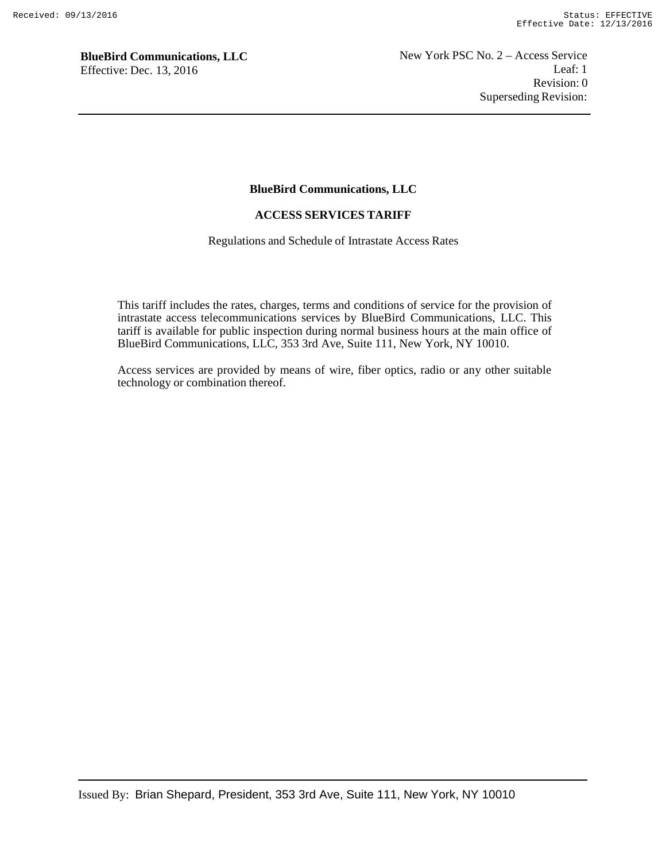### **BlueBird Communications, LLC**

### **ACCESS SERVICES TARIFF**

Regulations and Schedule of Intrastate Access Rates

This tariff includes the rates, charges, terms and conditions of service for the provision of intrastate access telecommunications services by BlueBird Communications, LLC. This tariff is available for public inspection during normal business hours at the main office of BlueBird Communications, LLC, 353 3rd Ave, Suite 111, New York, NY 10010.

Access services are provided by means of wire, fiber optics, radio or any other suitable technology or combination thereof.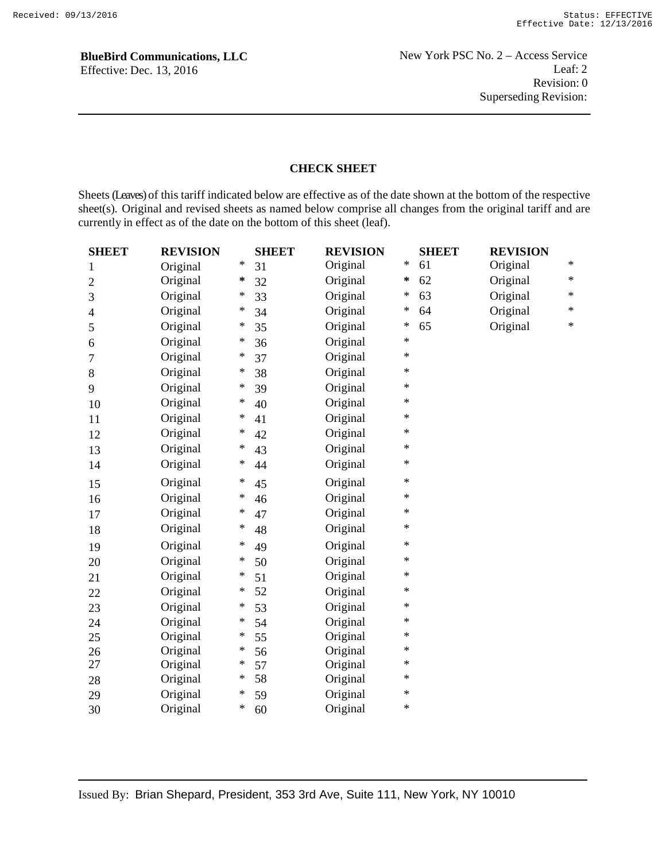## **CHECK SHEET**

Sheets (Leaves) of this tariff indicated below are effective as of the date shown at the bottom of the respective sheet(s). Original and revised sheets as named below comprise all changes from the original tariff and are currently in effect as of the date on the bottom of this sheet (leaf).

| <b>SHEET</b>   | <b>REVISION</b> |        | <b>SHEET</b> | <b>REVISION</b> |        | <b>SHEET</b> | <b>REVISION</b> |        |
|----------------|-----------------|--------|--------------|-----------------|--------|--------------|-----------------|--------|
| 1              | Original        | $\ast$ | 31           | Original        | ∗      | 61           | Original        | $\ast$ |
| $\overline{c}$ | Original        | *      | 32           | Original        | ∗      | 62           | Original        | $\ast$ |
| 3              | Original        | ∗      | 33           | Original        | ∗      | 63           | Original        | $\ast$ |
| 4              | Original        | ∗      | 34           | Original        | $\ast$ | 64           | Original        | $\ast$ |
| 5              | Original        | ∗      | 35           | Original        | ∗      | 65           | Original        | $\ast$ |
| 6              | Original        | ∗      | 36           | Original        | $\ast$ |              |                 |        |
| 7              | Original        | ∗      | 37           | Original        | $\ast$ |              |                 |        |
| 8              | Original        | ∗      | 38           | Original        | $\ast$ |              |                 |        |
| 9              | Original        | ∗      | 39           | Original        | $\ast$ |              |                 |        |
| 10             | Original        | $\ast$ | 40           | Original        | $\ast$ |              |                 |        |
| 11             | Original        | $\ast$ | 41           | Original        | $\ast$ |              |                 |        |
| 12             | Original        | ∗      | 42           | Original        | $\ast$ |              |                 |        |
| 13             | Original        | ∗      | 43           | Original        | $\ast$ |              |                 |        |
| 14             | Original        | ∗      | 44           | Original        | $\ast$ |              |                 |        |
| 15             | Original        | ∗      | 45           | Original        | $\ast$ |              |                 |        |
| 16             | Original        | ∗      | 46           | Original        | $\ast$ |              |                 |        |
| 17             | Original        | ∗      | 47           | Original        | $\ast$ |              |                 |        |
| 18             | Original        | ∗      | 48           | Original        | $\ast$ |              |                 |        |
| 19             | Original        | $\ast$ | 49           | Original        | $\ast$ |              |                 |        |
| 20             | Original        | ∗      | 50           | Original        | $\ast$ |              |                 |        |
| 21             | Original        | ∗      | 51           | Original        | $\ast$ |              |                 |        |
| 22             | Original        | ∗      | 52           | Original        | $\ast$ |              |                 |        |
| 23             | Original        | ∗      | 53           | Original        | $\ast$ |              |                 |        |
| 24             | Original        | ∗      | 54           | Original        | $\ast$ |              |                 |        |
| 25             | Original        | ∗      | 55           | Original        | $\ast$ |              |                 |        |
| 26             | Original        | ∗      | 56           | Original        | $\ast$ |              |                 |        |
| 27             | Original        | ∗      | 57           | Original        | $\ast$ |              |                 |        |
| 28             | Original        | ∗      | 58           | Original        | $\ast$ |              |                 |        |
| 29             | Original        | $\ast$ | 59           | Original        | $\ast$ |              |                 |        |
| 30             | Original        | ∗      | 60           | Original        | $\ast$ |              |                 |        |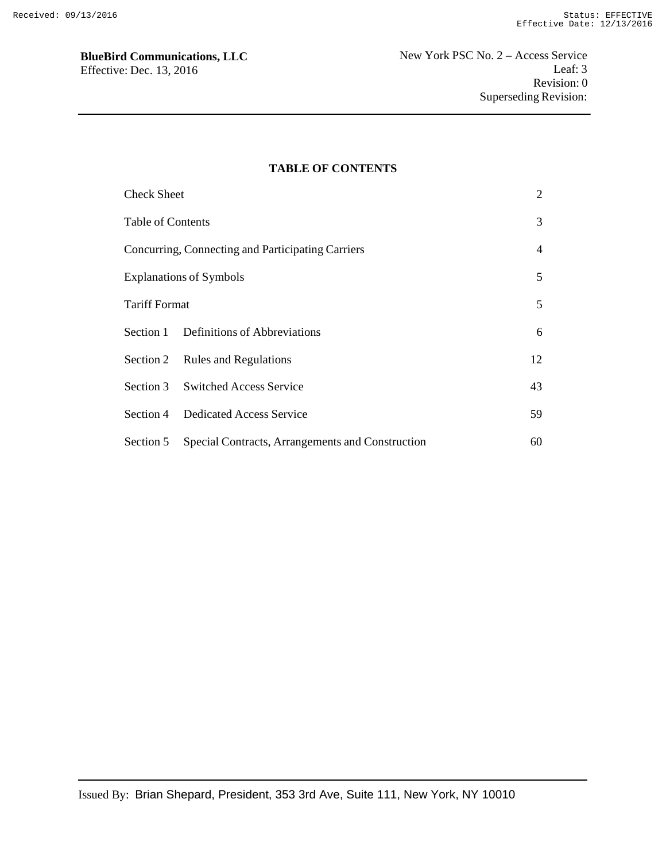### **TABLE OF CONTENTS**

| <b>Check Sheet</b>                                |                                                  | $\overline{2}$ |
|---------------------------------------------------|--------------------------------------------------|----------------|
| Table of Contents                                 |                                                  | 3              |
| Concurring, Connecting and Participating Carriers |                                                  |                |
| <b>Explanations of Symbols</b>                    |                                                  | 5              |
| <b>Tariff Format</b>                              |                                                  | 5              |
|                                                   | Section 1 Definitions of Abbreviations           | 6              |
|                                                   | Section 2 Rules and Regulations                  | 12             |
|                                                   | Section 3 Switched Access Service                | 43             |
|                                                   | Section 4 Dedicated Access Service               | 59             |
| Section 5                                         | Special Contracts, Arrangements and Construction | 60             |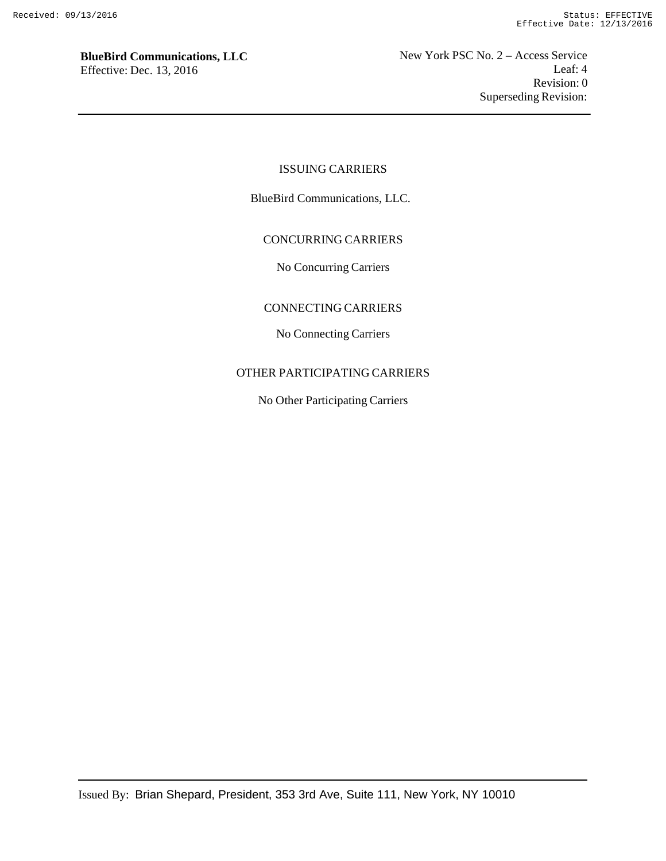### ISSUING CARRIERS

BlueBird Communications, LLC.

### CONCURRING CARRIERS

No Concurring Carriers

### CONNECTING CARRIERS

No Connecting Carriers

### OTHER PARTICIPATING CARRIERS

No Other Participating Carriers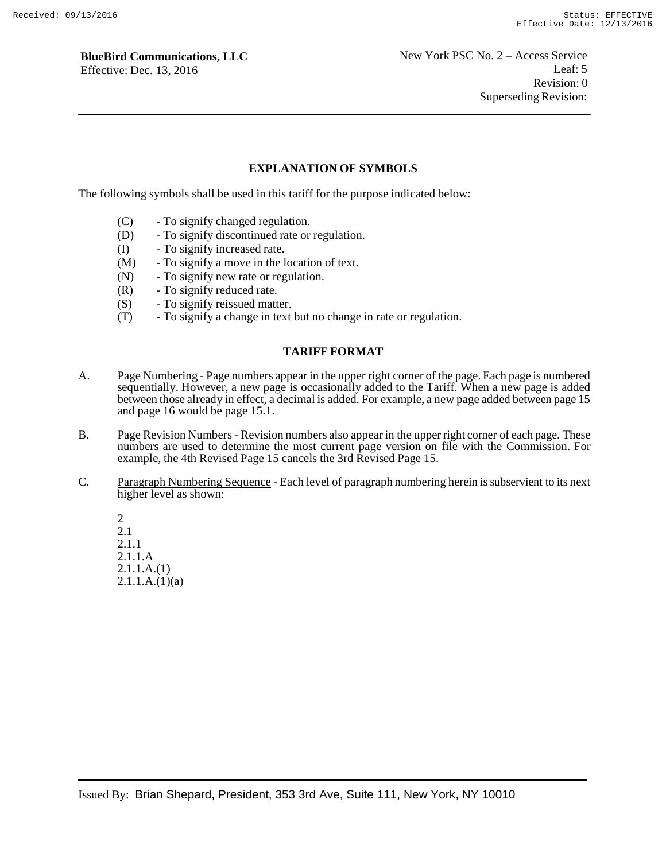### **EXPLANATION OF SYMBOLS**

The following symbols shall be used in this tariff for the purpose indicated below:

- (C) To signify changed regulation.
- (D) To signify discontinued rate or regulation.
- (I) To signify increased rate.
- (M) To signify a move in the location of text.
- (N) To signify new rate or regulation.
- (R) To signify reduced rate.
- (S) To signify reissued matter.
- (T) To signify a change in text but no change in rate or regulation.

#### **TARIFF FORMAT**

- A. Page Numbering Page numbers appear in the upper right corner of the page. Each page is numbered sequentially. However, a new page is occasionally added to the Tariff. When a new page is added between those already in effect, a decimal is added. For example, a new page added between page 15 and page 16 would be page 15.1.
- B. Page Revision Numbers Revision numbers also appear in the upper right corner of each page. These numbers are used to determine the most current page version on file with the Commission. For example, the 4th Revised Page 15 cancels the 3rd Revised Page 15.
- C. Paragraph Numbering Sequence Each level of paragraph numbering herein is subservient to its next higher level as shown:

2 2.1 2.1.1 2.1.1.A 2.1.1.A.(1)  $2.1.1.A.(1)(a)$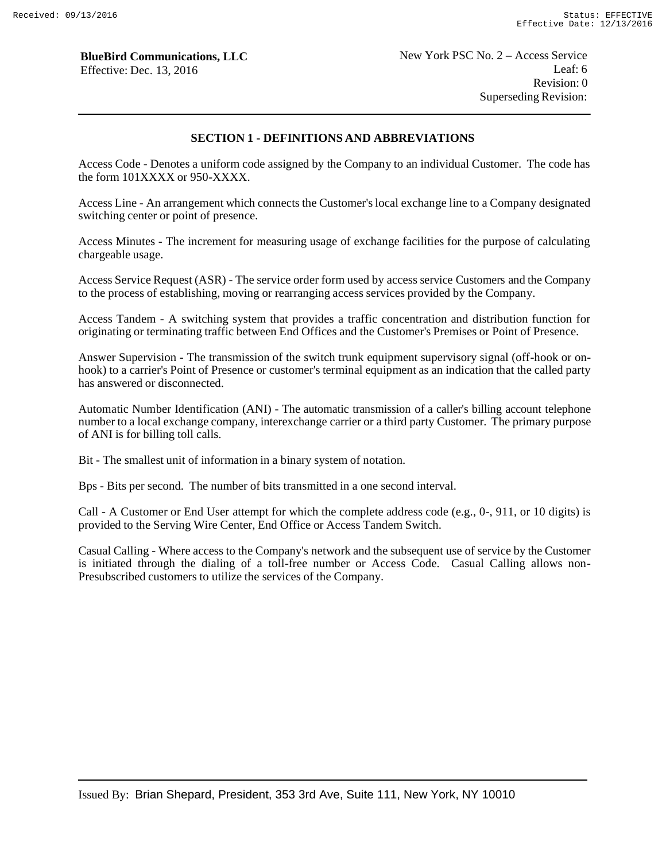### **SECTION 1 - DEFINITIONS AND ABBREVIATIONS**

Access Code - Denotes a uniform code assigned by the Company to an individual Customer. The code has the form 101XXXX or 950-XXXX.

Access Line - An arrangement which connects the Customer's local exchange line to a Company designated switching center or point of presence.

Access Minutes - The increment for measuring usage of exchange facilities for the purpose of calculating chargeable usage.

Access Service Request (ASR) - The service order form used by access service Customers and the Company to the process of establishing, moving or rearranging access services provided by the Company.

Access Tandem - A switching system that provides a traffic concentration and distribution function for originating or terminating traffic between End Offices and the Customer's Premises or Point of Presence.

Answer Supervision - The transmission of the switch trunk equipment supervisory signal (off-hook or onhook) to a carrier's Point of Presence or customer's terminal equipment as an indication that the called party has answered or disconnected.

Automatic Number Identification (ANI) - The automatic transmission of a caller's billing account telephone number to a local exchange company, interexchange carrier or a third party Customer. The primary purpose of ANI is for billing toll calls.

Bit - The smallest unit of information in a binary system of notation.

Bps - Bits per second. The number of bits transmitted in a one second interval.

Call - A Customer or End User attempt for which the complete address code (e.g., 0-, 911, or 10 digits) is provided to the Serving Wire Center, End Office or Access Tandem Switch.

Casual Calling - Where access to the Company's network and the subsequent use of service by the Customer is initiated through the dialing of a toll-free number or Access Code. Casual Calling allows non-Presubscribed customers to utilize the services of the Company.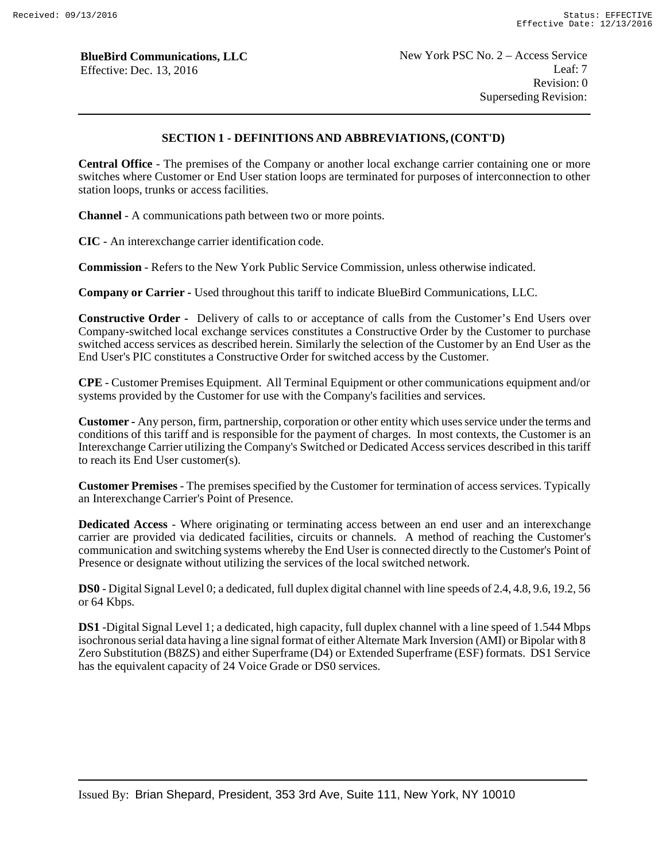# **SECTION 1 - DEFINITIONS AND ABBREVIATIONS, (CONT'D)**

**Central Office** - The premises of the Company or another local exchange carrier containing one or more switches where Customer or End User station loops are terminated for purposes of interconnection to other station loops, trunks or access facilities.

**Channel** - A communications path between two or more points.

**CIC** - An interexchange carrier identification code.

**Commission** - Refers to the New York Public Service Commission, unless otherwise indicated.

**Company or Carrier -** Used throughout this tariff to indicate BlueBird Communications, LLC.

**Constructive Order -** Delivery of calls to or acceptance of calls from the Customer's End Users over Company-switched local exchange services constitutes a Constructive Order by the Customer to purchase switched access services as described herein. Similarly the selection of the Customer by an End User as the End User's PIC constitutes a Constructive Order for switched access by the Customer.

**CPE** - Customer Premises Equipment. All Terminal Equipment or other communications equipment and/or systems provided by the Customer for use with the Company's facilities and services.

**Customer -** Any person, firm, partnership, corporation or other entity which uses service under the terms and conditions of this tariff and is responsible for the payment of charges. In most contexts, the Customer is an Interexchange Carrier utilizing the Company's Switched or Dedicated Access services described in this tariff to reach its End User customer(s).

**Customer Premises** - The premises specified by the Customer for termination of access services. Typically an Interexchange Carrier's Point of Presence.

**Dedicated Access** - Where originating or terminating access between an end user and an interexchange carrier are provided via dedicated facilities, circuits or channels. A method of reaching the Customer's communication and switching systems whereby the End User is connected directly to the Customer's Point of Presence or designate without utilizing the services of the local switched network.

**DS0** - Digital Signal Level 0; a dedicated, full duplex digital channel with line speeds of 2.4, 4.8, 9.6, 19.2, 56 or 64 Kbps.

**DS1** -Digital Signal Level 1; a dedicated, high capacity, full duplex channel with a line speed of 1.544 Mbps isochronous serial data having a line signal format of either Alternate Mark Inversion (AMI) or Bipolar with 8 Zero Substitution (B8ZS) and either Superframe (D4) or Extended Superframe (ESF) formats. DS1 Service has the equivalent capacity of 24 Voice Grade or DS0 services.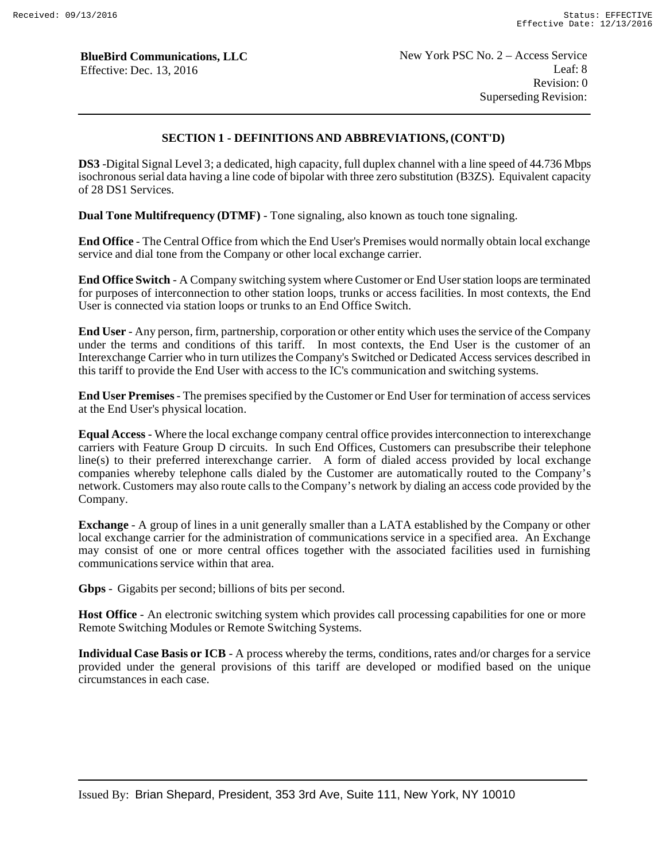# **SECTION 1 - DEFINITIONS AND ABBREVIATIONS, (CONT'D)**

**DS3** -Digital Signal Level 3; a dedicated, high capacity, full duplex channel with a line speed of 44.736 Mbps isochronous serial data having a line code of bipolar with three zero substitution (B3ZS). Equivalent capacity of 28 DS1 Services.

**Dual Tone Multifrequency (DTMF)** - Tone signaling, also known as touch tone signaling.

**End Office** - The Central Office from which the End User's Premises would normally obtain local exchange service and dial tone from the Company or other local exchange carrier.

**End Office Switch** - A Company switching system where Customer or End User station loops are terminated for purposes of interconnection to other station loops, trunks or access facilities. In most contexts, the End User is connected via station loops or trunks to an End Office Switch.

**End User** - Any person, firm, partnership, corporation or other entity which uses the service of the Company under the terms and conditions of this tariff. In most contexts, the End User is the customer of an Interexchange Carrier who in turn utilizes the Company's Switched or Dedicated Access services described in this tariff to provide the End User with access to the IC's communication and switching systems.

**End User Premises** - The premises specified by the Customer or End User for termination of access services at the End User's physical location.

**Equal Access** - Where the local exchange company central office provides interconnection to interexchange carriers with Feature Group D circuits. In such End Offices, Customers can presubscribe their telephone line(s) to their preferred interexchange carrier. A form of dialed access provided by local exchange companies whereby telephone calls dialed by the Customer are automatically routed to the Company's network. Customers may also route calls to the Company's network by dialing an access code provided by the Company.

**Exchange** - A group of lines in a unit generally smaller than a LATA established by the Company or other local exchange carrier for the administration of communications service in a specified area. An Exchange may consist of one or more central offices together with the associated facilities used in furnishing communications service within that area.

**Gbps** - Gigabits per second; billions of bits per second.

**Host Office** - An electronic switching system which provides call processing capabilities for one or more Remote Switching Modules or Remote Switching Systems.

**Individual Case Basis or ICB** - A process whereby the terms, conditions, rates and/or charges for a service provided under the general provisions of this tariff are developed or modified based on the unique circumstances in each case.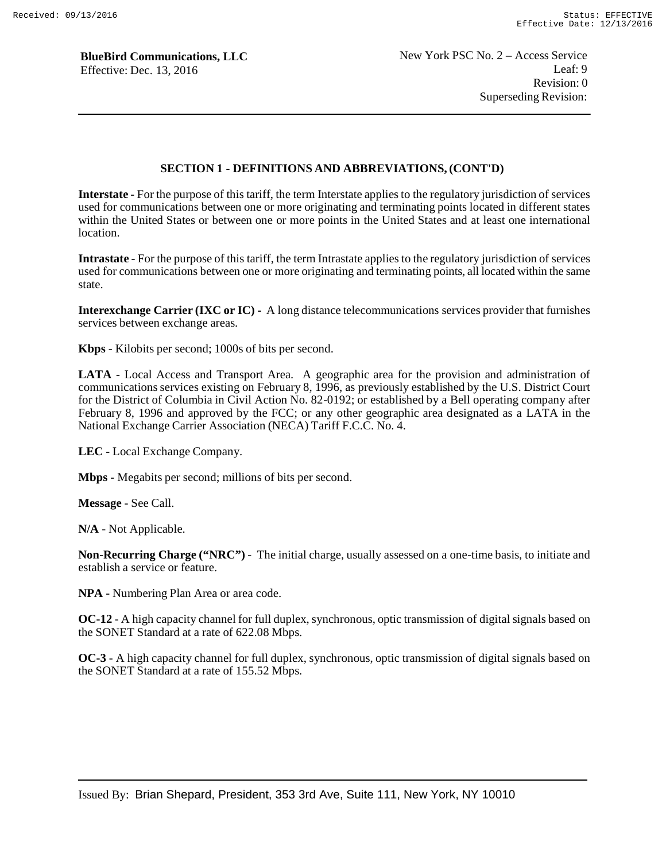### **SECTION 1 - DEFINITIONS AND ABBREVIATIONS, (CONT'D)**

**Interstate** - For the purpose of this tariff, the term Interstate applies to the regulatory jurisdiction of services used for communications between one or more originating and terminating points located in different states within the United States or between one or more points in the United States and at least one international location.

**Intrastate** - For the purpose of this tariff, the term Intrastate applies to the regulatory jurisdiction of services used for communications between one or more originating and terminating points, all located within the same state.

**Interexchange Carrier (IXC or IC) -** A long distance telecommunications services provider that furnishes services between exchange areas.

**Kbps** - Kilobits per second; 1000s of bits per second.

**LATA** - Local Access and Transport Area. A geographic area for the provision and administration of communications services existing on February 8, 1996, as previously established by the U.S. District Court for the District of Columbia in Civil Action No. 82-0192; or established by a Bell operating company after February 8, 1996 and approved by the FCC; or any other geographic area designated as a LATA in the National Exchange Carrier Association (NECA) Tariff F.C.C. No. 4.

**LEC** - Local Exchange Company.

**Mbps** - Megabits per second; millions of bits per second.

**Message** - See Call.

**N/A** - Not Applicable.

**Non-Recurring Charge ("NRC")** - The initial charge, usually assessed on a one-time basis, to initiate and establish a service or feature.

**NPA** - Numbering Plan Area or area code.

**OC-12** - A high capacity channel for full duplex, synchronous, optic transmission of digital signals based on the SONET Standard at a rate of 622.08 Mbps.

**OC-3** - A high capacity channel for full duplex, synchronous, optic transmission of digital signals based on the SONET Standard at a rate of 155.52 Mbps.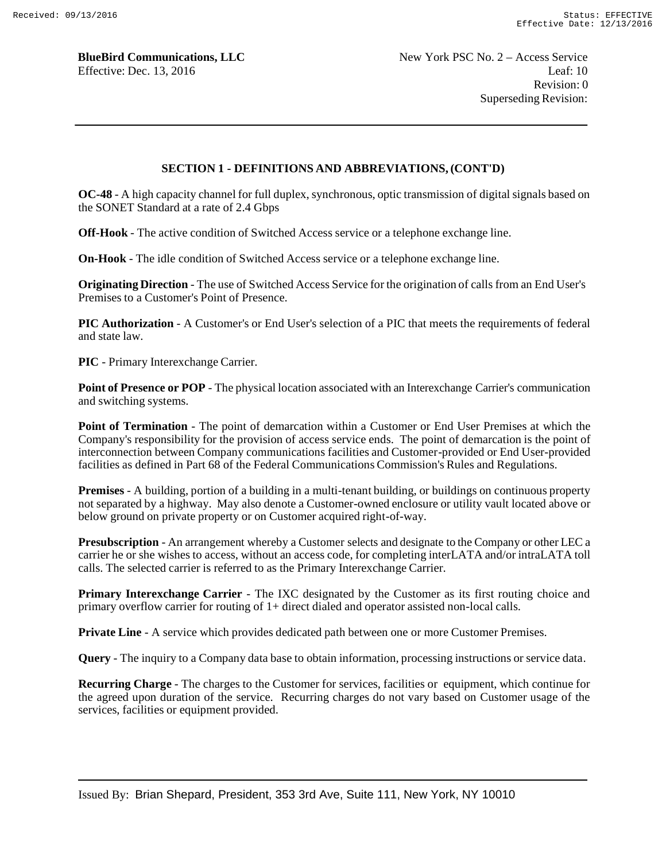# **SECTION 1 - DEFINITIONS AND ABBREVIATIONS, (CONT'D)**

**OC-48** - A high capacity channel for full duplex, synchronous, optic transmission of digital signals based on the SONET Standard at a rate of 2.4 Gbps

**Off-Hook** - The active condition of Switched Access service or a telephone exchange line.

**On-Hook** - The idle condition of Switched Access service or a telephone exchange line.

**Originating Direction** - The use of Switched Access Service for the origination of calls from an End User's Premises to a Customer's Point of Presence.

**PIC Authorization** - A Customer's or End User's selection of a PIC that meets the requirements of federal and state law.

**PIC** - Primary Interexchange Carrier.

**Point of Presence or POP** - The physical location associated with an Interexchange Carrier's communication and switching systems.

**Point of Termination** - The point of demarcation within a Customer or End User Premises at which the Company's responsibility for the provision of access service ends. The point of demarcation is the point of interconnection between Company communications facilities and Customer-provided or End User-provided facilities as defined in Part 68 of the Federal Communications Commission's Rules and Regulations.

**Premises** - A building, portion of a building in a multi-tenant building, or buildings on continuous property not separated by a highway. May also denote a Customer-owned enclosure or utility vault located above or below ground on private property or on Customer acquired right-of-way.

**Presubscription** - An arrangement whereby a Customer selects and designate to the Company or other LEC a carrier he or she wishes to access, without an access code, for completing interLATA and/or intraLATA toll calls. The selected carrier is referred to as the Primary Interexchange Carrier.

**Primary Interexchange Carrier** - The IXC designated by the Customer as its first routing choice and primary overflow carrier for routing of 1+ direct dialed and operator assisted non-local calls.

**Private Line** - A service which provides dedicated path between one or more Customer Premises.

**Query** - The inquiry to a Company data base to obtain information, processing instructions or service data.

**Recurring Charge** - The charges to the Customer for services, facilities or equipment, which continue for the agreed upon duration of the service. Recurring charges do not vary based on Customer usage of the services, facilities or equipment provided.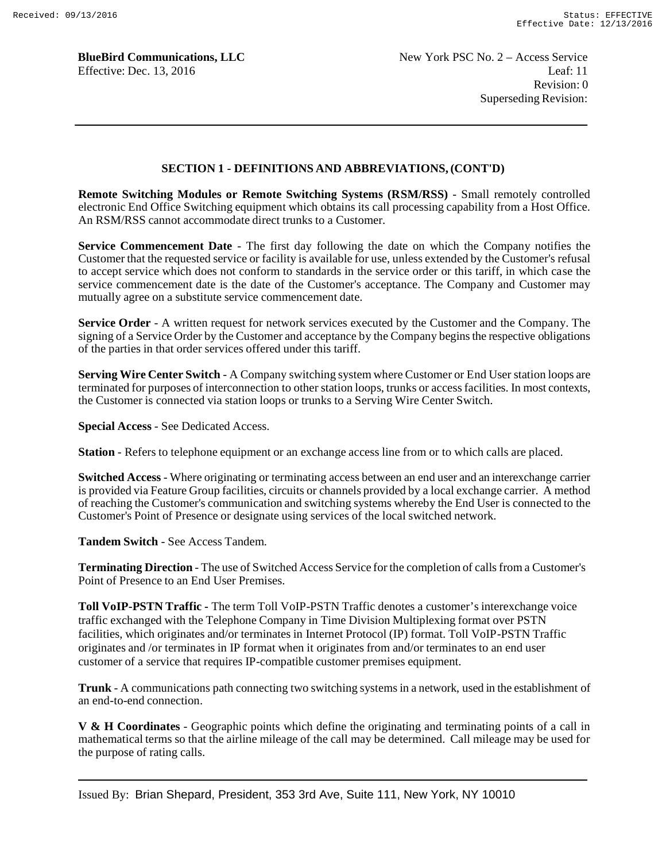### **SECTION 1 - DEFINITIONS AND ABBREVIATIONS, (CONT'D)**

**Remote Switching Modules or Remote Switching Systems (RSM/RSS)** - Small remotely controlled electronic End Office Switching equipment which obtains its call processing capability from a Host Office. An RSM/RSS cannot accommodate direct trunks to a Customer.

**Service Commencement Date** - The first day following the date on which the Company notifies the Customer that the requested service or facility is available for use, unless extended by the Customer's refusal to accept service which does not conform to standards in the service order or this tariff, in which case the service commencement date is the date of the Customer's acceptance. The Company and Customer may mutually agree on a substitute service commencement date.

**Service Order** - A written request for network services executed by the Customer and the Company. The signing of a Service Order by the Customer and acceptance by the Company begins the respective obligations of the parties in that order services offered under this tariff.

**Serving Wire Center Switch** - A Company switching system where Customer or End User station loops are terminated for purposes of interconnection to other station loops, trunks or access facilities. In most contexts, the Customer is connected via station loops or trunks to a Serving Wire Center Switch.

**Special Access** - See Dedicated Access.

**Station** - Refers to telephone equipment or an exchange access line from or to which calls are placed.

**Switched Access** - Where originating or terminating access between an end user and an interexchange carrier is provided via Feature Group facilities, circuits or channels provided by a local exchange carrier. A method of reaching the Customer's communication and switching systems whereby the End User is connected to the Customer's Point of Presence or designate using services of the local switched network.

**Tandem Switch** - See Access Tandem.

**Terminating Direction** - The use of Switched Access Service for the completion of calls from a Customer's Point of Presence to an End User Premises.

**Toll VoIP-PSTN Traffic -** The term Toll VoIP-PSTN Traffic denotes a customer's interexchange voice traffic exchanged with the Telephone Company in Time Division Multiplexing format over PSTN facilities, which originates and/or terminates in Internet Protocol (IP) format. Toll VoIP-PSTN Traffic originates and /or terminates in IP format when it originates from and/or terminates to an end user customer of a service that requires IP-compatible customer premises equipment.

**Trunk** - A communications path connecting two switching systems in a network, used in the establishment of an end-to-end connection.

**V & H Coordinates** - Geographic points which define the originating and terminating points of a call in mathematical terms so that the airline mileage of the call may be determined. Call mileage may be used for the purpose of rating calls.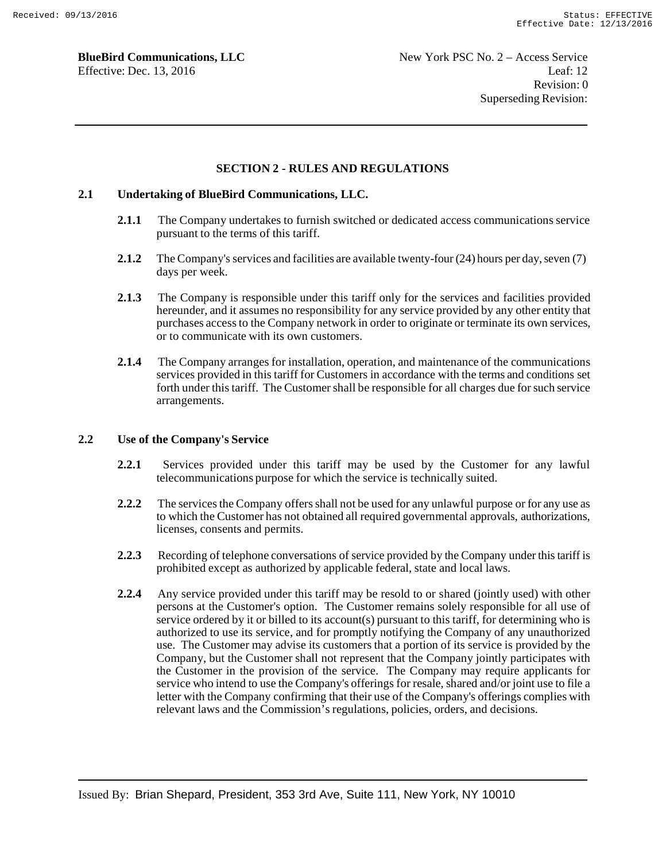### **SECTION 2 - RULES AND REGULATIONS**

### **2.1 Undertaking of BlueBird Communications, LLC.**

- **2.1.1** The Company undertakes to furnish switched or dedicated access communications service pursuant to the terms of this tariff.
- **2.1.2** The Company's services and facilities are available twenty-four (24) hours per day, seven (7) days per week.
- **2.1.3** The Company is responsible under this tariff only for the services and facilities provided hereunder, and it assumes no responsibility for any service provided by any other entity that purchases access to the Company network in order to originate or terminate its own services, or to communicate with its own customers.
- **2.1.4** The Company arranges for installation, operation, and maintenance of the communications services provided in this tariff for Customers in accordance with the terms and conditions set forth under this tariff. The Customer shall be responsible for all charges due for such service arrangements.

#### **2.2 Use of the Company's Service**

- **2.2.1** Services provided under this tariff may be used by the Customer for any lawful telecommunications purpose for which the service is technically suited.
- **2.2.2** The services the Company offers shall not be used for any unlawful purpose or for any use as to which the Customer has not obtained all required governmental approvals, authorizations, licenses, consents and permits.
- **2.2.3** Recording of telephone conversations of service provided by the Company under this tariff is prohibited except as authorized by applicable federal, state and local laws.
- **2.2.4** Any service provided under this tariff may be resold to or shared (jointly used) with other persons at the Customer's option. The Customer remains solely responsible for all use of service ordered by it or billed to its account(s) pursuant to this tariff, for determining who is authorized to use its service, and for promptly notifying the Company of any unauthorized use. The Customer may advise its customers that a portion of its service is provided by the Company, but the Customer shall not represent that the Company jointly participates with the Customer in the provision of the service. The Company may require applicants for service who intend to use the Company's offerings for resale, shared and/or joint use to file a letter with the Company confirming that their use of the Company's offerings complies with relevant laws and the Commission's regulations, policies, orders, and decisions.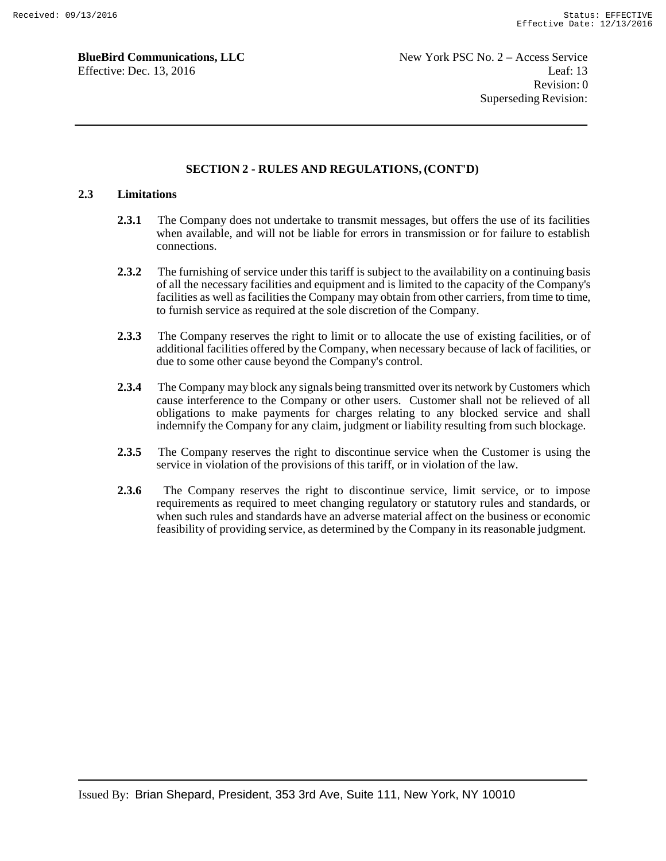### **SECTION 2 - RULES AND REGULATIONS, (CONT'D)**

### **2.3 Limitations**

- **2.3.1** The Company does not undertake to transmit messages, but offers the use of its facilities when available, and will not be liable for errors in transmission or for failure to establish connections.
- **2.3.2** The furnishing of service under this tariff is subject to the availability on a continuing basis of all the necessary facilities and equipment and is limited to the capacity of the Company's facilities as well as facilities the Company may obtain from other carriers, from time to time, to furnish service as required at the sole discretion of the Company.
- **2.3.3** The Company reserves the right to limit or to allocate the use of existing facilities, or of additional facilities offered by the Company, when necessary because of lack of facilities, or due to some other cause beyond the Company's control.
- **2.3.4** The Company may block any signals being transmitted over its network by Customers which cause interference to the Company or other users. Customer shall not be relieved of all obligations to make payments for charges relating to any blocked service and shall indemnify the Company for any claim, judgment or liability resulting from such blockage.
- **2.3.5** The Company reserves the right to discontinue service when the Customer is using the service in violation of the provisions of this tariff, or in violation of the law.
- **2.3.6** The Company reserves the right to discontinue service, limit service, or to impose requirements as required to meet changing regulatory or statutory rules and standards, or when such rules and standards have an adverse material affect on the business or economic feasibility of providing service, as determined by the Company in its reasonable judgment.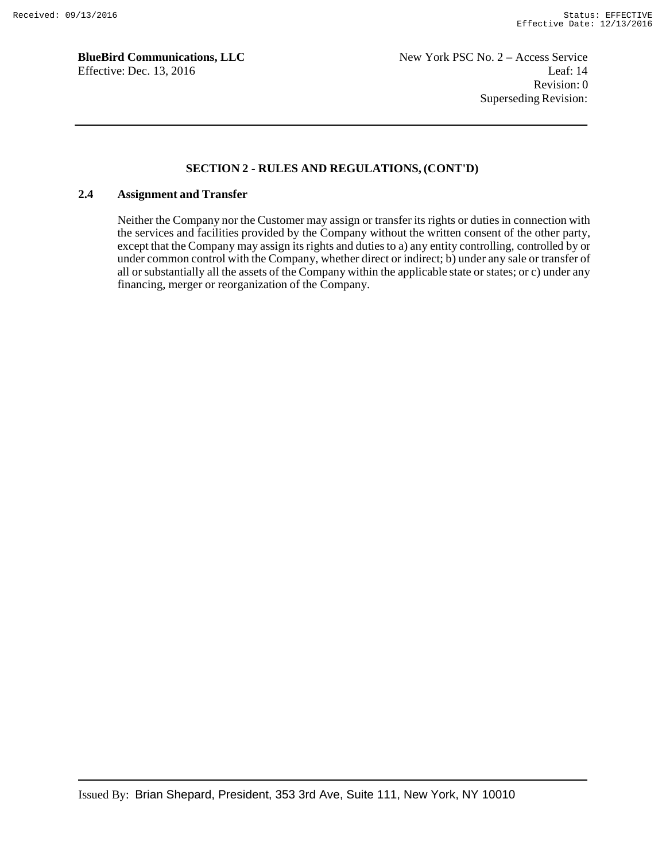### **SECTION 2 - RULES AND REGULATIONS, (CONT'D)**

### **2.4 Assignment and Transfer**

Neither the Company nor the Customer may assign or transfer its rights or duties in connection with the services and facilities provided by the Company without the written consent of the other party, except that the Company may assign its rights and duties to a) any entity controlling, controlled by or under common control with the Company, whether direct or indirect; b) under any sale or transfer of all or substantially all the assets of the Company within the applicable state or states; or c) under any financing, merger or reorganization of the Company.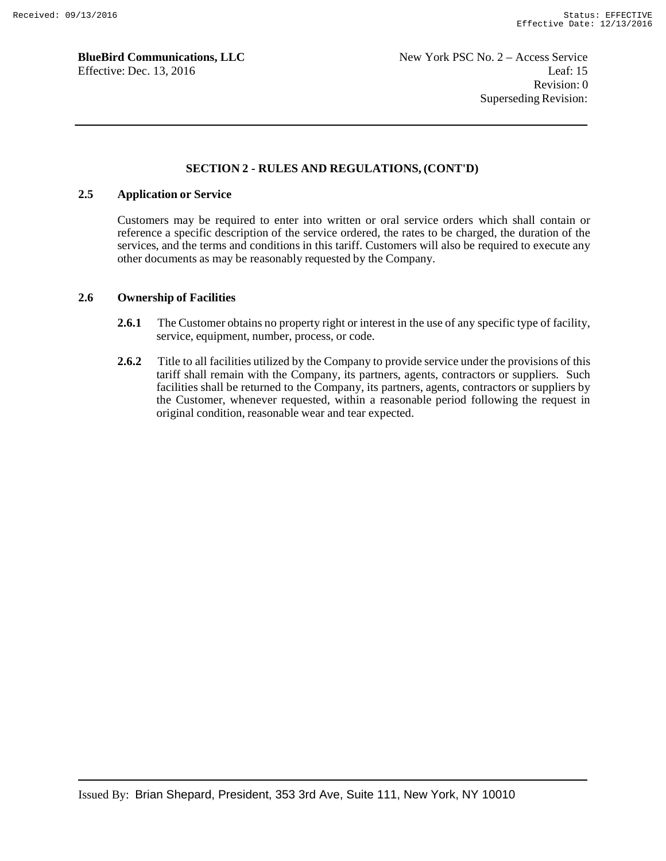### **SECTION 2 - RULES AND REGULATIONS, (CONT'D)**

### **2.5 Application or Service**

Customers may be required to enter into written or oral service orders which shall contain or reference a specific description of the service ordered, the rates to be charged, the duration of the services, and the terms and conditions in this tariff. Customers will also be required to execute any other documents as may be reasonably requested by the Company.

### **2.6 Ownership of Facilities**

- 2.6.1 The Customer obtains no property right or interest in the use of any specific type of facility, service, equipment, number, process, or code.
- **2.6.2** Title to all facilities utilized by the Company to provide service under the provisions of this tariff shall remain with the Company, its partners, agents, contractors or suppliers. Such facilities shall be returned to the Company, its partners, agents, contractors or suppliers by the Customer, whenever requested, within a reasonable period following the request in original condition, reasonable wear and tear expected.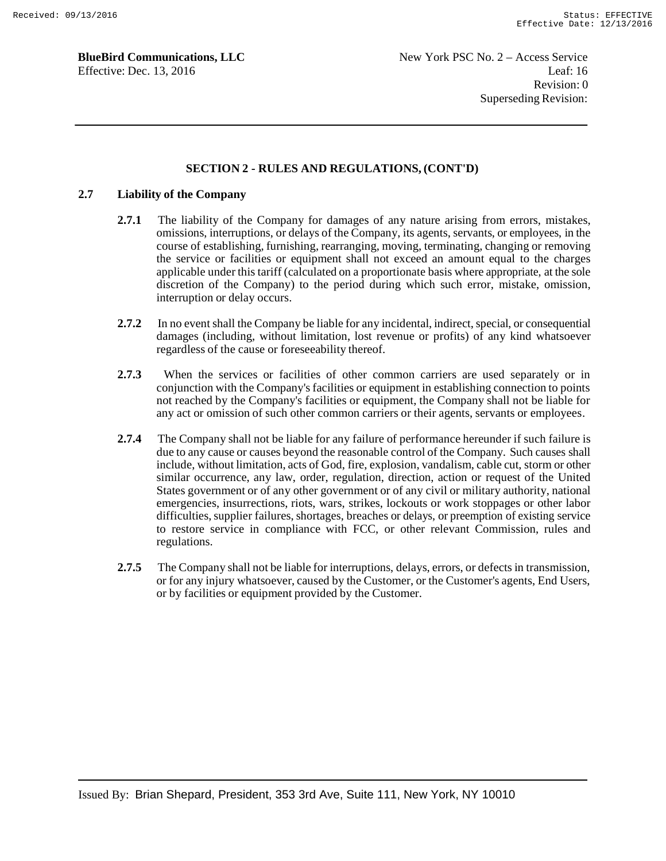### **SECTION 2 - RULES AND REGULATIONS, (CONT'D)**

### **2.7 Liability of the Company**

- **2.7.1** The liability of the Company for damages of any nature arising from errors, mistakes, omissions, interruptions, or delays of the Company, its agents, servants, or employees, in the course of establishing, furnishing, rearranging, moving, terminating, changing or removing the service or facilities or equipment shall not exceed an amount equal to the charges applicable under this tariff (calculated on a proportionate basis where appropriate, at the sole discretion of the Company) to the period during which such error, mistake, omission, interruption or delay occurs.
- **2.7.2** In no event shall the Company be liable for any incidental, indirect, special, or consequential damages (including, without limitation, lost revenue or profits) of any kind whatsoever regardless of the cause or foreseeability thereof.
- **2.7.3** When the services or facilities of other common carriers are used separately or in conjunction with the Company's facilities or equipment in establishing connection to points not reached by the Company's facilities or equipment, the Company shall not be liable for any act or omission of such other common carriers or their agents, servants or employees.
- **2.7.4** The Company shall not be liable for any failure of performance hereunder if such failure is due to any cause or causes beyond the reasonable control of the Company. Such causes shall include, without limitation, acts of God, fire, explosion, vandalism, cable cut, storm or other similar occurrence, any law, order, regulation, direction, action or request of the United States government or of any other government or of any civil or military authority, national emergencies, insurrections, riots, wars, strikes, lockouts or work stoppages or other labor difficulties, supplier failures, shortages, breaches or delays, or preemption of existing service to restore service in compliance with FCC, or other relevant Commission, rules and regulations.
- **2.7.5** The Company shall not be liable for interruptions, delays, errors, or defects in transmission, or for any injury whatsoever, caused by the Customer, or the Customer's agents, End Users, or by facilities or equipment provided by the Customer.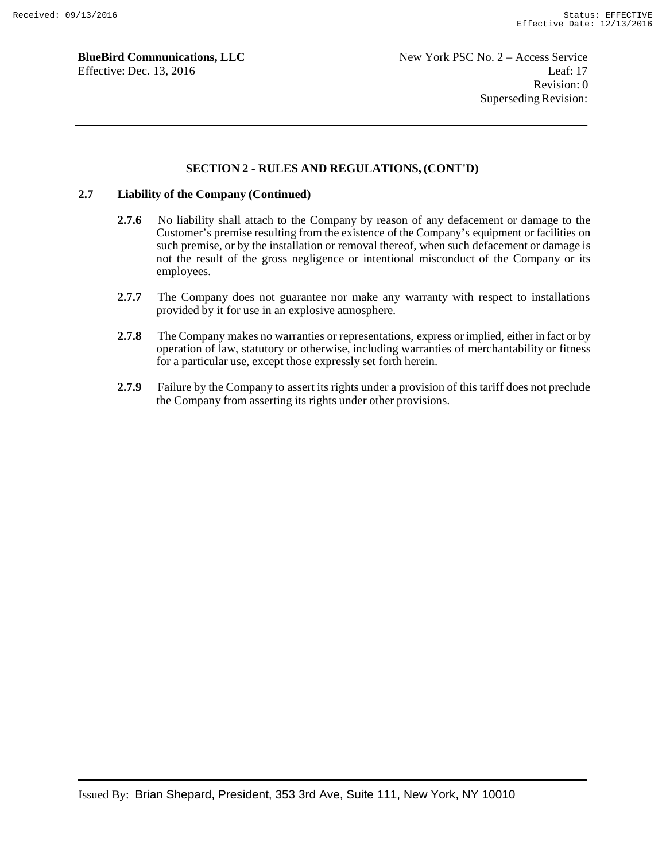### **SECTION 2 - RULES AND REGULATIONS, (CONT'D)**

### **2.7 Liability of the Company (Continued)**

- **2.7.6** No liability shall attach to the Company by reason of any defacement or damage to the Customer's premise resulting from the existence of the Company's equipment or facilities on such premise, or by the installation or removal thereof, when such defacement or damage is not the result of the gross negligence or intentional misconduct of the Company or its employees.
- **2.7.7** The Company does not guarantee nor make any warranty with respect to installations provided by it for use in an explosive atmosphere.
- **2.7.8** The Company makes no warranties or representations, express or implied, either in fact or by operation of law, statutory or otherwise, including warranties of merchantability or fitness for a particular use, except those expressly set forth herein.
- **2.7.9** Failure by the Company to assert its rights under a provision of this tariff does not preclude the Company from asserting its rights under other provisions.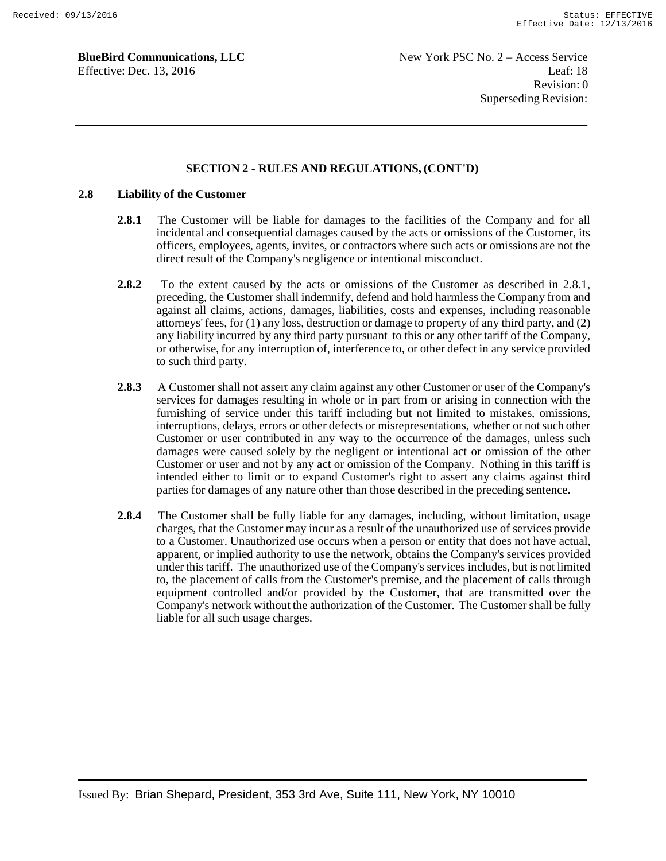### **SECTION 2 - RULES AND REGULATIONS, (CONT'D)**

### **2.8 Liability of the Customer**

- **2.8.1** The Customer will be liable for damages to the facilities of the Company and for all incidental and consequential damages caused by the acts or omissions of the Customer, its officers, employees, agents, invites, or contractors where such acts or omissions are not the direct result of the Company's negligence or intentional misconduct.
- **2.8.2** To the extent caused by the acts or omissions of the Customer as described in 2.8.1, preceding, the Customer shall indemnify, defend and hold harmless the Company from and against all claims, actions, damages, liabilities, costs and expenses, including reasonable attorneys' fees, for (1) any loss, destruction or damage to property of any third party, and (2) any liability incurred by any third party pursuant to this or any other tariff of the Company, or otherwise, for any interruption of, interference to, or other defect in any service provided to such third party.
- **2.8.3** A Customer shall not assert any claim against any other Customer or user of the Company's services for damages resulting in whole or in part from or arising in connection with the furnishing of service under this tariff including but not limited to mistakes, omissions, interruptions, delays, errors or other defects or misrepresentations, whether or not such other Customer or user contributed in any way to the occurrence of the damages, unless such damages were caused solely by the negligent or intentional act or omission of the other Customer or user and not by any act or omission of the Company. Nothing in this tariff is intended either to limit or to expand Customer's right to assert any claims against third parties for damages of any nature other than those described in the preceding sentence.
- **2.8.4** The Customer shall be fully liable for any damages, including, without limitation, usage charges, that the Customer may incur as a result of the unauthorized use of services provide to a Customer. Unauthorized use occurs when a person or entity that does not have actual, apparent, or implied authority to use the network, obtains the Company's services provided under this tariff. The unauthorized use of the Company's services includes, but is not limited to, the placement of calls from the Customer's premise, and the placement of calls through equipment controlled and/or provided by the Customer, that are transmitted over the Company's network without the authorization of the Customer. The Customer shall be fully liable for all such usage charges.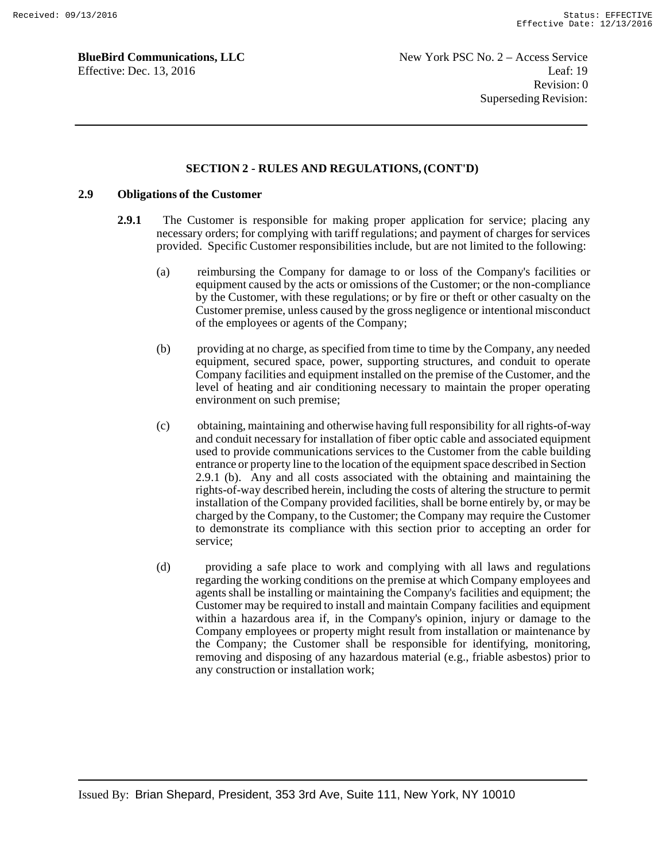### **SECTION 2 - RULES AND REGULATIONS, (CONT'D)**

### **2.9 Obligations of the Customer**

- **2.9.1** The Customer is responsible for making proper application for service; placing any necessary orders; for complying with tariff regulations; and payment of charges for services provided. Specific Customer responsibilities include, but are not limited to the following:
	- (a) reimbursing the Company for damage to or loss of the Company's facilities or equipment caused by the acts or omissions of the Customer; or the non-compliance by the Customer, with these regulations; or by fire or theft or other casualty on the Customer premise, unless caused by the gross negligence or intentional misconduct of the employees or agents of the Company;
	- (b) providing at no charge, as specified from time to time by the Company, any needed equipment, secured space, power, supporting structures, and conduit to operate Company facilities and equipment installed on the premise of the Customer, and the level of heating and air conditioning necessary to maintain the proper operating environment on such premise;
	- (c) obtaining, maintaining and otherwise having full responsibility for all rights-of-way and conduit necessary for installation of fiber optic cable and associated equipment used to provide communications services to the Customer from the cable building entrance or property line to the location of the equipment space described in Section 2.9.1 (b). Any and all costs associated with the obtaining and maintaining the rights-of-way described herein, including the costs of altering the structure to permit installation of the Company provided facilities, shall be borne entirely by, or may be charged by the Company, to the Customer; the Company may require the Customer to demonstrate its compliance with this section prior to accepting an order for service;
	- (d) providing a safe place to work and complying with all laws and regulations regarding the working conditions on the premise at which Company employees and agents shall be installing or maintaining the Company's facilities and equipment; the Customer may be required to install and maintain Company facilities and equipment within a hazardous area if, in the Company's opinion, injury or damage to the Company employees or property might result from installation or maintenance by the Company; the Customer shall be responsible for identifying, monitoring, removing and disposing of any hazardous material (e.g., friable asbestos) prior to any construction or installation work;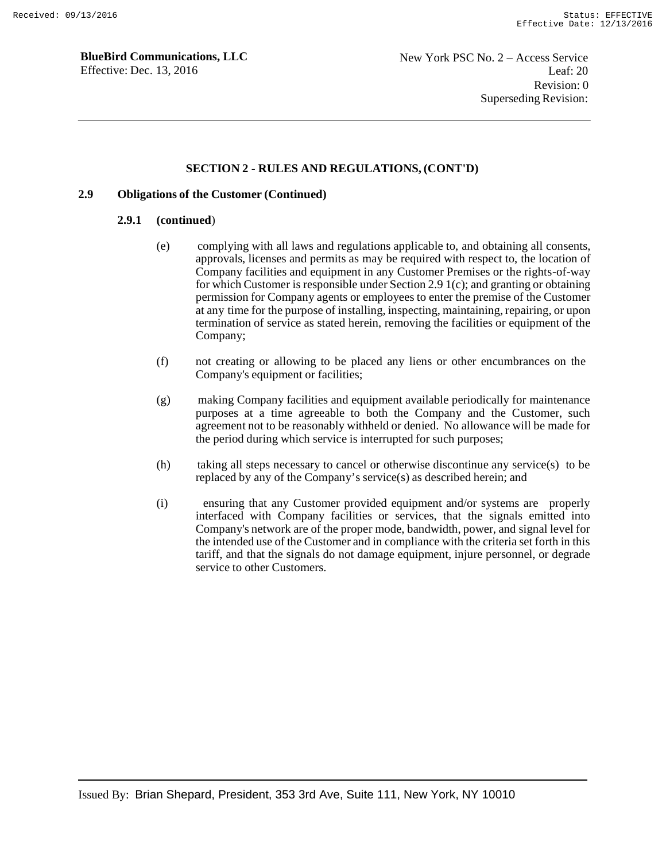### **SECTION 2 - RULES AND REGULATIONS, (CONT'D)**

### **2.9 Obligations of the Customer (Continued)**

#### **2.9.1 (continued**)

- (e) complying with all laws and regulations applicable to, and obtaining all consents, approvals, licenses and permits as may be required with respect to, the location of Company facilities and equipment in any Customer Premises or the rights-of-way for which Customer is responsible under Section 2.9 1(c); and granting or obtaining permission for Company agents or employees to enter the premise of the Customer at any time for the purpose of installing, inspecting, maintaining, repairing, or upon termination of service as stated herein, removing the facilities or equipment of the Company;
- (f) not creating or allowing to be placed any liens or other encumbrances on the Company's equipment or facilities;
- (g) making Company facilities and equipment available periodically for maintenance purposes at a time agreeable to both the Company and the Customer, such agreement not to be reasonably withheld or denied. No allowance will be made for the period during which service is interrupted for such purposes;
- (h) taking all steps necessary to cancel or otherwise discontinue any service(s) to be replaced by any of the Company's service(s) as described herein; and
- (i) ensuring that any Customer provided equipment and/or systems are properly interfaced with Company facilities or services, that the signals emitted into Company's network are of the proper mode, bandwidth, power, and signal level for the intended use of the Customer and in compliance with the criteria set forth in this tariff, and that the signals do not damage equipment, injure personnel, or degrade service to other Customers.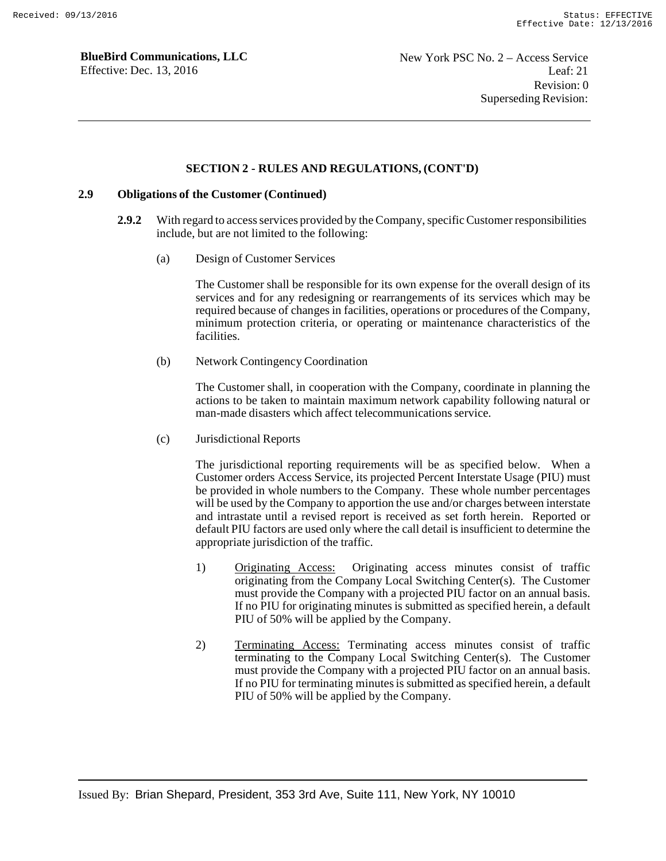#### **SECTION 2 - RULES AND REGULATIONS, (CONT'D)**

### **2.9 Obligations of the Customer (Continued)**

- **2.9.2** With regard to access services provided by the Company, specific Customer responsibilities include, but are not limited to the following:
	- (a) Design of Customer Services

The Customer shall be responsible for its own expense for the overall design of its services and for any redesigning or rearrangements of its services which may be required because of changes in facilities, operations or procedures of the Company, minimum protection criteria, or operating or maintenance characteristics of the facilities.

(b) Network Contingency Coordination

The Customer shall, in cooperation with the Company, coordinate in planning the actions to be taken to maintain maximum network capability following natural or man-made disasters which affect telecommunications service.

(c) Jurisdictional Reports

The jurisdictional reporting requirements will be as specified below. When a Customer orders Access Service, its projected Percent Interstate Usage (PIU) must be provided in whole numbers to the Company. These whole number percentages will be used by the Company to apportion the use and/or charges between interstate and intrastate until a revised report is received as set forth herein. Reported or default PIU factors are used only where the call detail is insufficient to determine the appropriate jurisdiction of the traffic.

- 1) Originating Access: Originating access minutes consist of traffic originating from the Company Local Switching Center(s). The Customer must provide the Company with a projected PIU factor on an annual basis. If no PIU for originating minutes is submitted as specified herein, a default PIU of 50% will be applied by the Company.
- 2) Terminating Access: Terminating access minutes consist of traffic terminating to the Company Local Switching Center(s). The Customer must provide the Company with a projected PIU factor on an annual basis. If no PIU for terminating minutes is submitted as specified herein, a default PIU of 50% will be applied by the Company.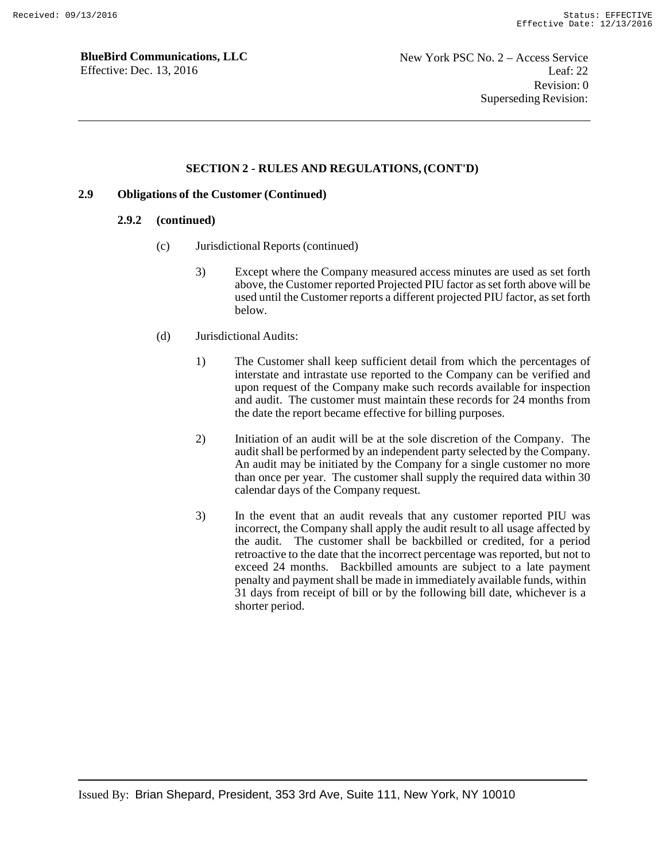### **SECTION 2 - RULES AND REGULATIONS, (CONT'D)**

### **2.9 Obligations of the Customer (Continued)**

#### **2.9.2 (continued)**

- (c) Jurisdictional Reports (continued)
	- 3) Except where the Company measured access minutes are used as set forth above, the Customer reported Projected PIU factor as set forth above will be used until the Customer reports a different projected PIU factor, as set forth below.
- (d) Jurisdictional Audits:
	- 1) The Customer shall keep sufficient detail from which the percentages of interstate and intrastate use reported to the Company can be verified and upon request of the Company make such records available for inspection and audit. The customer must maintain these records for 24 months from the date the report became effective for billing purposes.
	- 2) Initiation of an audit will be at the sole discretion of the Company. The audit shall be performed by an independent party selected by the Company. An audit may be initiated by the Company for a single customer no more than once per year. The customer shall supply the required data within 30 calendar days of the Company request.
	- 3) In the event that an audit reveals that any customer reported PIU was incorrect, the Company shall apply the audit result to all usage affected by the audit. The customer shall be backbilled or credited, for a period retroactive to the date that the incorrect percentage was reported, but not to exceed 24 months. Backbilled amounts are subject to a late payment penalty and payment shall be made in immediately available funds, within 31 days from receipt of bill or by the following bill date, whichever is a shorter period.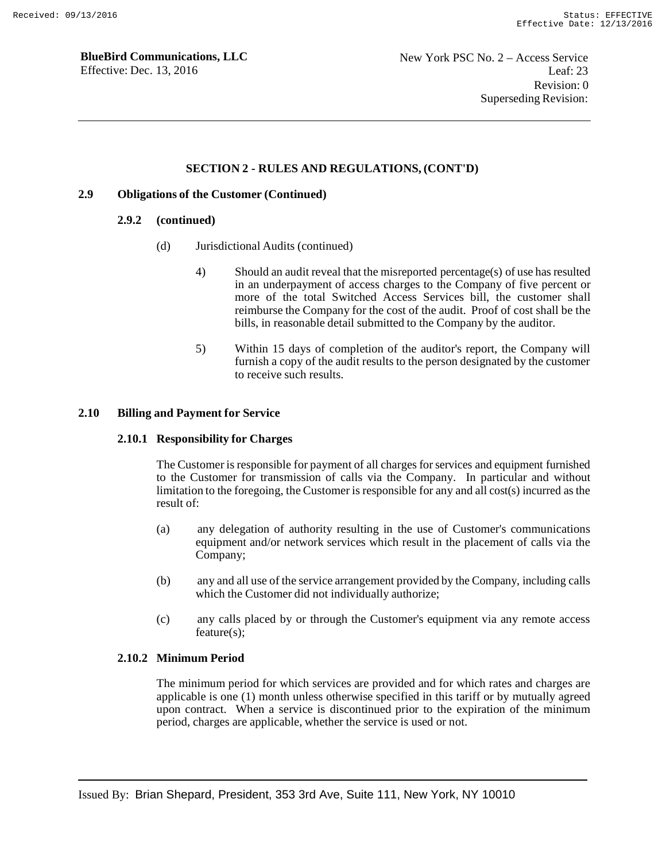### **SECTION 2 - RULES AND REGULATIONS, (CONT'D)**

### **2.9 Obligations of the Customer (Continued)**

#### **2.9.2 (continued)**

- (d) Jurisdictional Audits (continued)
	- 4) Should an audit reveal that the misreported percentage(s) of use has resulted in an underpayment of access charges to the Company of five percent or more of the total Switched Access Services bill, the customer shall reimburse the Company for the cost of the audit. Proof of cost shall be the bills, in reasonable detail submitted to the Company by the auditor.
	- 5) Within 15 days of completion of the auditor's report, the Company will furnish a copy of the audit results to the person designated by the customer to receive such results.

### **2.10 Billing and Payment for Service**

#### **2.10.1 Responsibility for Charges**

The Customer is responsible for payment of all charges for services and equipment furnished to the Customer for transmission of calls via the Company. In particular and without limitation to the foregoing, the Customer is responsible for any and all cost(s) incurred as the result of:

- (a) any delegation of authority resulting in the use of Customer's communications equipment and/or network services which result in the placement of calls via the Company;
- (b) any and all use of the service arrangement provided by the Company, including calls which the Customer did not individually authorize;
- (c) any calls placed by or through the Customer's equipment via any remote access feature(s);

### **2.10.2 Minimum Period**

The minimum period for which services are provided and for which rates and charges are applicable is one (1) month unless otherwise specified in this tariff or by mutually agreed upon contract. When a service is discontinued prior to the expiration of the minimum period, charges are applicable, whether the service is used or not.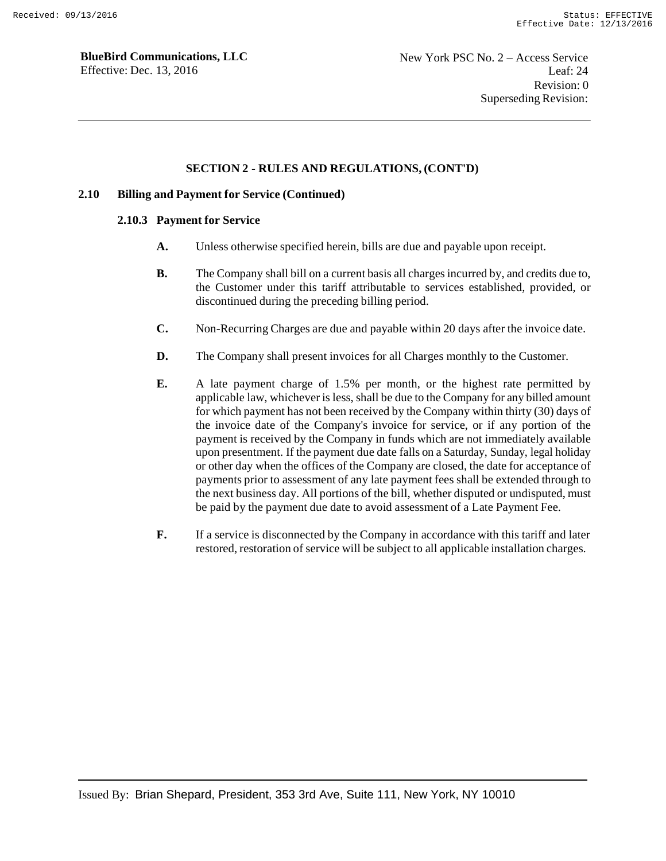### **SECTION 2 - RULES AND REGULATIONS, (CONT'D)**

### **2.10 Billing and Payment for Service (Continued)**

#### **2.10.3 Payment for Service**

- **A.** Unless otherwise specified herein, bills are due and payable upon receipt.
- **B.** The Company shall bill on a current basis all charges incurred by, and credits due to, the Customer under this tariff attributable to services established, provided, or discontinued during the preceding billing period.
- **C.** Non-Recurring Charges are due and payable within 20 days after the invoice date.
- **D.** The Company shall present invoices for all Charges monthly to the Customer.
- **E.** A late payment charge of 1.5% per month, or the highest rate permitted by applicable law, whichever is less, shall be due to the Company for any billed amount for which payment has not been received by the Company within thirty (30) days of the invoice date of the Company's invoice for service, or if any portion of the payment is received by the Company in funds which are not immediately available upon presentment. If the payment due date falls on a Saturday, Sunday, legal holiday or other day when the offices of the Company are closed, the date for acceptance of payments prior to assessment of any late payment fees shall be extended through to the next business day. All portions of the bill, whether disputed or undisputed, must be paid by the payment due date to avoid assessment of a Late Payment Fee.
- **F.** If a service is disconnected by the Company in accordance with this tariff and later restored, restoration of service will be subject to all applicable installation charges.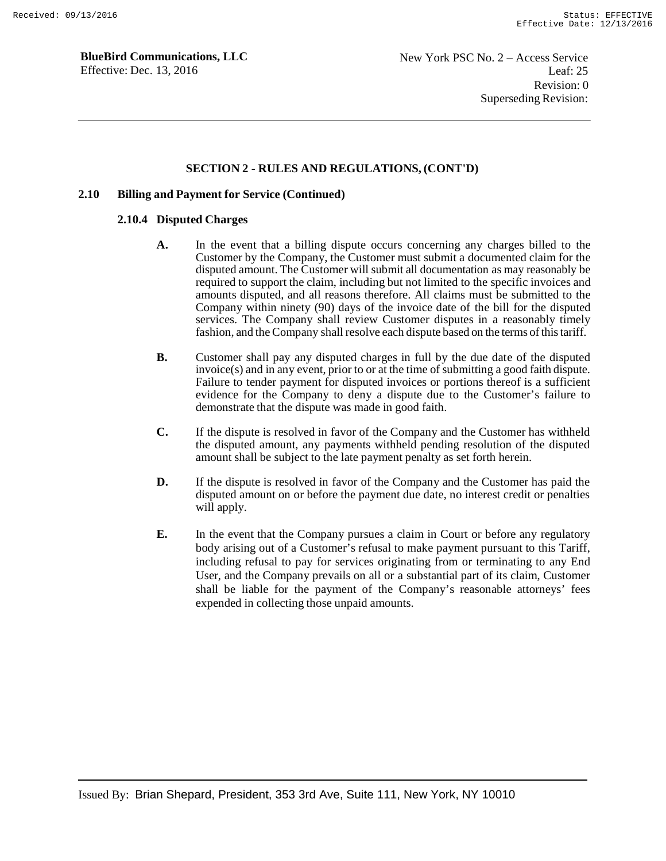#### **SECTION 2 - RULES AND REGULATIONS, (CONT'D)**

#### **2.10 Billing and Payment for Service (Continued)**

#### **2.10.4 Disputed Charges**

- **A.** In the event that a billing dispute occurs concerning any charges billed to the Customer by the Company, the Customer must submit a documented claim for the disputed amount. The Customer will submit all documentation as may reasonably be required to support the claim, including but not limited to the specific invoices and amounts disputed, and all reasons therefore. All claims must be submitted to the Company within ninety (90) days of the invoice date of the bill for the disputed services. The Company shall review Customer disputes in a reasonably timely fashion, and the Company shall resolve each dispute based on the terms of this tariff.
- **B.** Customer shall pay any disputed charges in full by the due date of the disputed invoice(s) and in any event, prior to or at the time of submitting a good faith dispute. Failure to tender payment for disputed invoices or portions thereof is a sufficient evidence for the Company to deny a dispute due to the Customer's failure to demonstrate that the dispute was made in good faith.
- **C.** If the dispute is resolved in favor of the Company and the Customer has withheld the disputed amount, any payments withheld pending resolution of the disputed amount shall be subject to the late payment penalty as set forth herein.
- **D.** If the dispute is resolved in favor of the Company and the Customer has paid the disputed amount on or before the payment due date, no interest credit or penalties will apply.
- **E.** In the event that the Company pursues a claim in Court or before any regulatory body arising out of a Customer's refusal to make payment pursuant to this Tariff, including refusal to pay for services originating from or terminating to any End User, and the Company prevails on all or a substantial part of its claim, Customer shall be liable for the payment of the Company's reasonable attorneys' fees expended in collecting those unpaid amounts.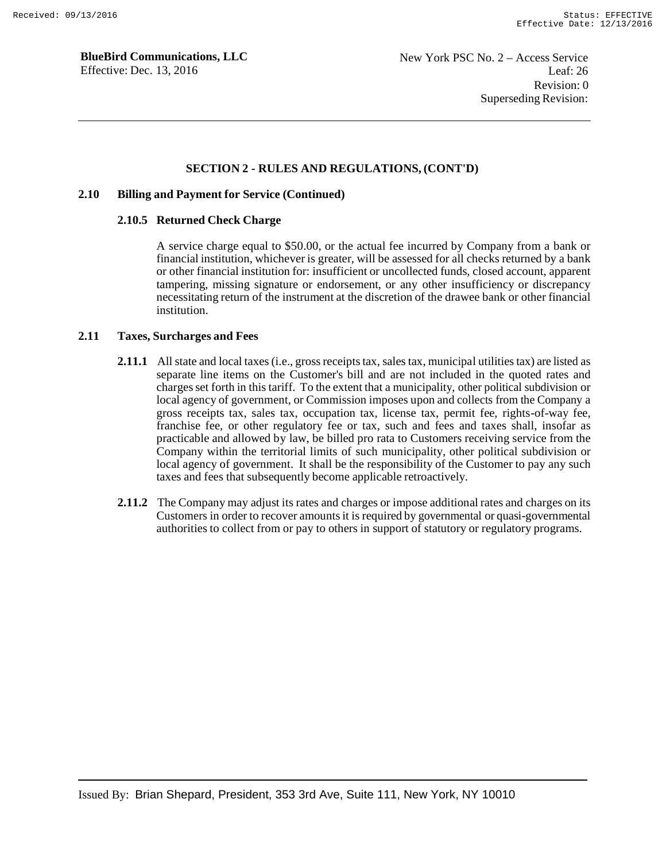#### **SECTION 2 - RULES AND REGULATIONS, (CONT'D)**

#### **2.10 Billing and Payment for Service (Continued)**

#### **2.10.5 Returned Check Charge**

A service charge equal to \$50.00, or the actual fee incurred by Company from a bank or financial institution, whichever is greater, will be assessed for all checks returned by a bank or other financial institution for: insufficient or uncollected funds, closed account, apparent tampering, missing signature or endorsement, or any other insufficiency or discrepancy necessitating return of the instrument at the discretion of the drawee bank or other financial institution.

#### **2.11 Taxes, Surcharges and Fees**

- **2.11.1** All state and local taxes (i.e., gross receipts tax, sales tax, municipal utilities tax) are listed as separate line items on the Customer's bill and are not included in the quoted rates and charges set forth in this tariff. To the extent that a municipality, other political subdivision or local agency of government, or Commission imposes upon and collects from the Company a gross receipts tax, sales tax, occupation tax, license tax, permit fee, rights-of-way fee, franchise fee, or other regulatory fee or tax, such and fees and taxes shall, insofar as practicable and allowed by law, be billed pro rata to Customers receiving service from the Company within the territorial limits of such municipality, other political subdivision or local agency of government. It shall be the responsibility of the Customer to pay any such taxes and fees that subsequently become applicable retroactively.
- **2.11.2** The Company may adjust its rates and charges or impose additional rates and charges on its Customers in order to recover amounts it is required by governmental or quasi-governmental authorities to collect from or pay to others in support of statutory or regulatory programs.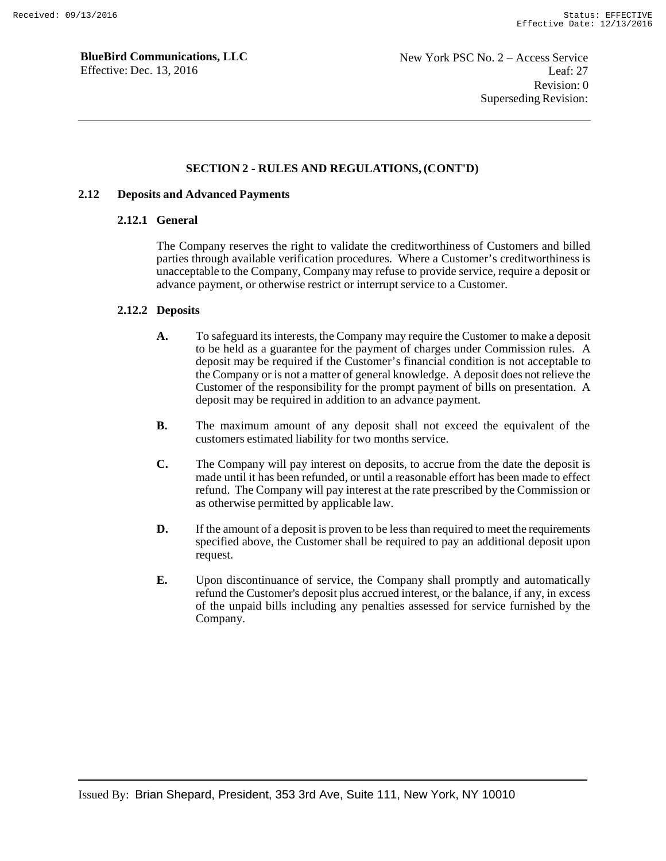### **SECTION 2 - RULES AND REGULATIONS, (CONT'D)**

#### **2.12 Deposits and Advanced Payments**

#### **2.12.1 General**

The Company reserves the right to validate the creditworthiness of Customers and billed parties through available verification procedures. Where a Customer's creditworthiness is unacceptable to the Company, Company may refuse to provide service, require a deposit or advance payment, or otherwise restrict or interrupt service to a Customer.

### **2.12.2 Deposits**

- **A.** To safeguard its interests, the Company may require the Customer to make a deposit to be held as a guarantee for the payment of charges under Commission rules. A deposit may be required if the Customer's financial condition is not acceptable to the Company or is not a matter of general knowledge. A deposit does not relieve the Customer of the responsibility for the prompt payment of bills on presentation. A deposit may be required in addition to an advance payment.
- **B.** The maximum amount of any deposit shall not exceed the equivalent of the customers estimated liability for two months service.
- **C.** The Company will pay interest on deposits, to accrue from the date the deposit is made until it has been refunded, or until a reasonable effort has been made to effect refund. The Company will pay interest at the rate prescribed by the Commission or as otherwise permitted by applicable law.
- **D.** If the amount of a deposit is proven to be less than required to meet the requirements specified above, the Customer shall be required to pay an additional deposit upon request.
- **E.** Upon discontinuance of service, the Company shall promptly and automatically refund the Customer's deposit plus accrued interest, or the balance, if any, in excess of the unpaid bills including any penalties assessed for service furnished by the Company.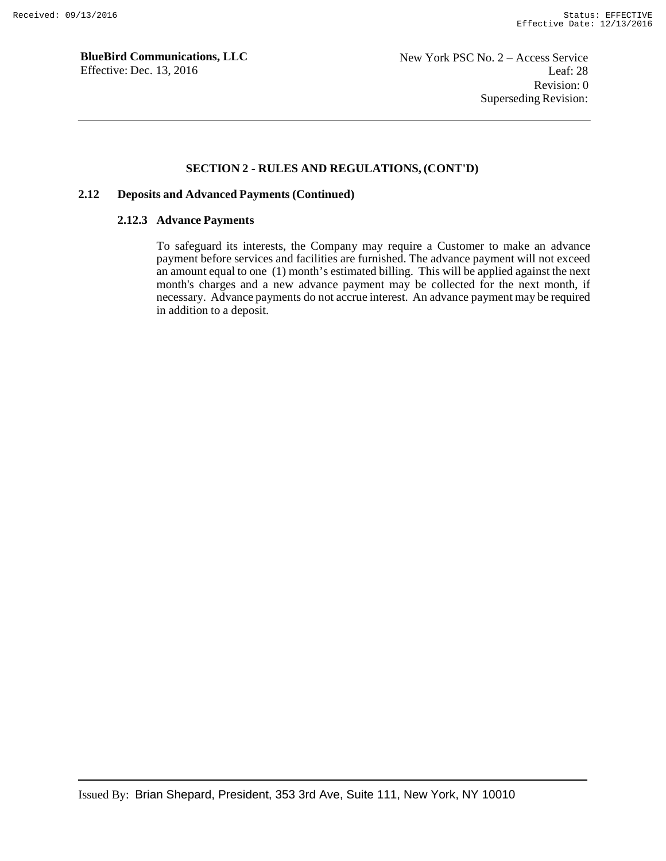### **SECTION 2 - RULES AND REGULATIONS, (CONT'D)**

### **2.12 Deposits and Advanced Payments (Continued)**

### **2.12.3 Advance Payments**

To safeguard its interests, the Company may require a Customer to make an advance payment before services and facilities are furnished. The advance payment will not exceed an amount equal to one (1) month's estimated billing. This will be applied against the next month's charges and a new advance payment may be collected for the next month, if necessary. Advance payments do not accrue interest. An advance payment may be required in addition to a deposit.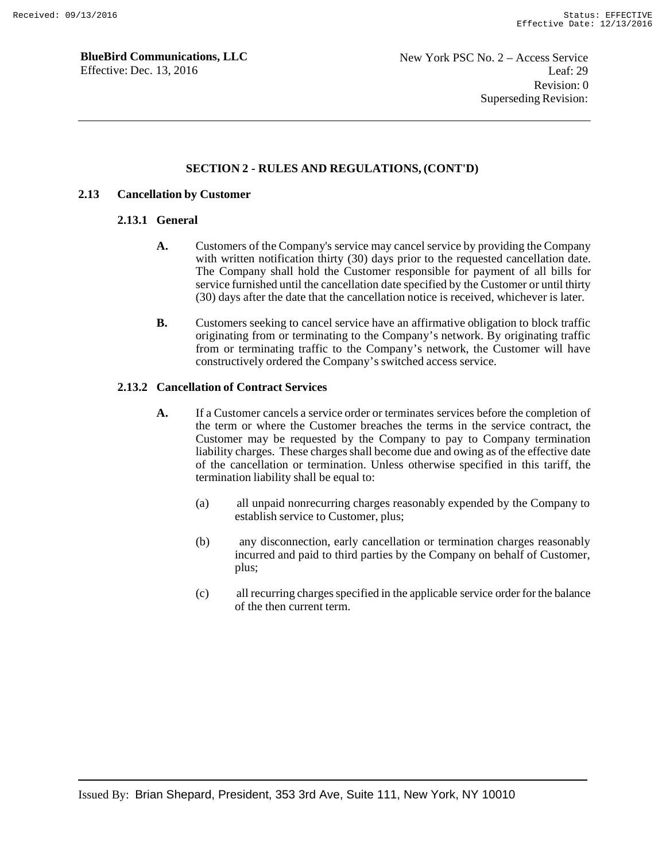### **SECTION 2 - RULES AND REGULATIONS, (CONT'D)**

#### **2.13 Cancellation by Customer**

#### **2.13.1 General**

- **A.** Customers of the Company's service may cancel service by providing the Company with written notification thirty (30) days prior to the requested cancellation date. The Company shall hold the Customer responsible for payment of all bills for service furnished until the cancellation date specified by the Customer or until thirty (30) days after the date that the cancellation notice is received, whichever is later.
- **B.** Customers seeking to cancel service have an affirmative obligation to block traffic originating from or terminating to the Company's network. By originating traffic from or terminating traffic to the Company's network, the Customer will have constructively ordered the Company's switched access service.

### **2.13.2 Cancellation of Contract Services**

- **A.** If a Customer cancels a service order or terminates services before the completion of the term or where the Customer breaches the terms in the service contract, the Customer may be requested by the Company to pay to Company termination liability charges. These charges shall become due and owing as of the effective date of the cancellation or termination. Unless otherwise specified in this tariff, the termination liability shall be equal to:
	- (a) all unpaid nonrecurring charges reasonably expended by the Company to establish service to Customer, plus;
	- (b) any disconnection, early cancellation or termination charges reasonably incurred and paid to third parties by the Company on behalf of Customer, plus;
	- (c) all recurring charges specified in the applicable service order for the balance of the then current term.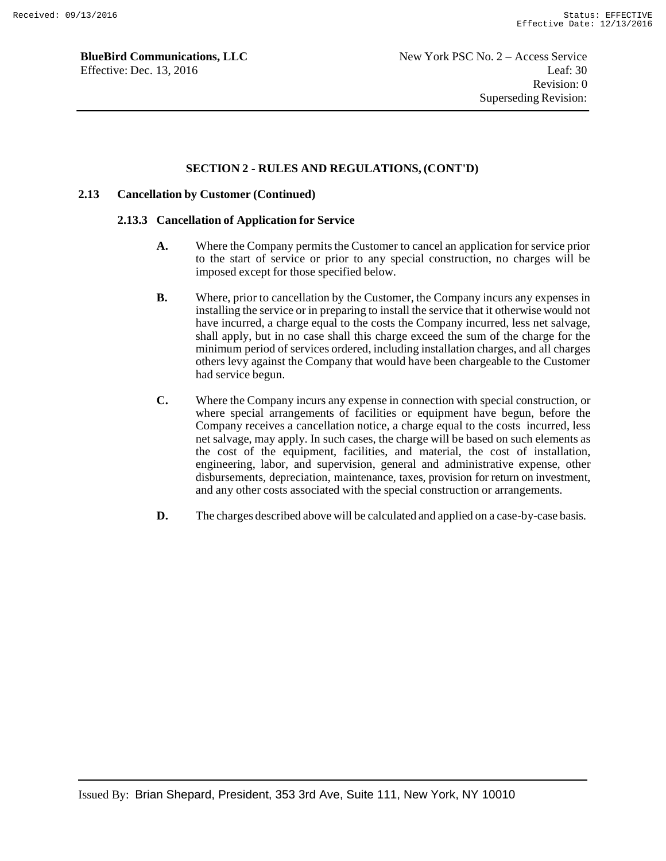### **SECTION 2 - RULES AND REGULATIONS, (CONT'D)**

#### **2.13 Cancellation by Customer (Continued)**

#### **2.13.3 Cancellation of Application for Service**

- **A.** Where the Company permits the Customer to cancel an application for service prior to the start of service or prior to any special construction, no charges will be imposed except for those specified below.
- **B.** Where, prior to cancellation by the Customer, the Company incurs any expenses in installing the service or in preparing to install the service that it otherwise would not have incurred, a charge equal to the costs the Company incurred, less net salvage, shall apply, but in no case shall this charge exceed the sum of the charge for the minimum period of services ordered, including installation charges, and all charges others levy against the Company that would have been chargeable to the Customer had service begun.
- **C.** Where the Company incurs any expense in connection with special construction, or where special arrangements of facilities or equipment have begun, before the Company receives a cancellation notice, a charge equal to the costs incurred, less net salvage, may apply. In such cases, the charge will be based on such elements as the cost of the equipment, facilities, and material, the cost of installation, engineering, labor, and supervision, general and administrative expense, other disbursements, depreciation, maintenance, taxes, provision for return on investment, and any other costs associated with the special construction or arrangements.
- **D.** The charges described above will be calculated and applied on a case-by-case basis.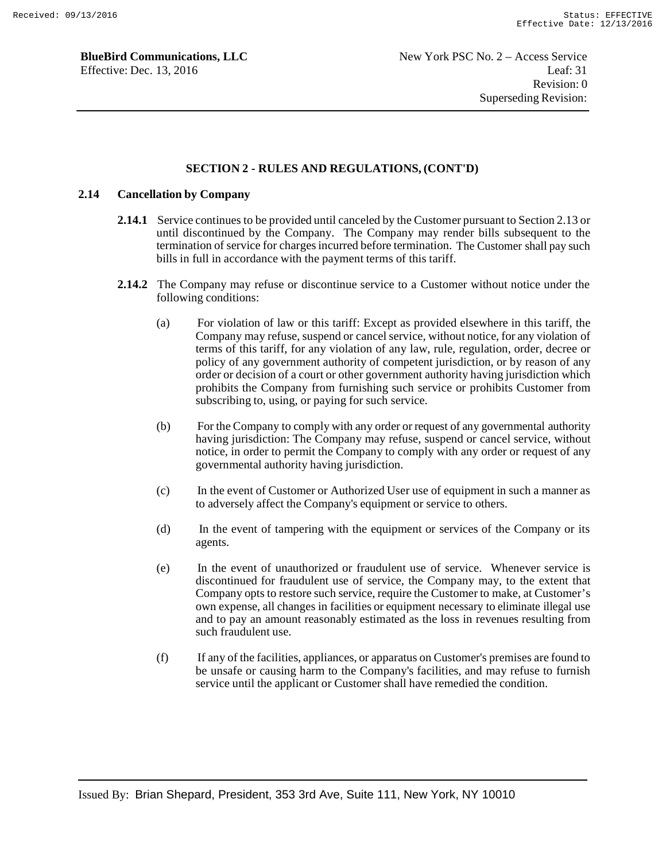#### **SECTION 2 - RULES AND REGULATIONS, (CONT'D)**

### **2.14 Cancellation by Company**

- **2.14.1** Service continues to be provided until canceled by the Customer pursuant to Section 2.13 or until discontinued by the Company. The Company may render bills subsequent to the termination of service for charges incurred before termination. The Customer shall pay such bills in full in accordance with the payment terms of this tariff.
- **2.14.2** The Company may refuse or discontinue service to a Customer without notice under the following conditions:
	- (a) For violation of law or this tariff: Except as provided elsewhere in this tariff, the Company may refuse, suspend or cancel service, without notice, for any violation of terms of this tariff, for any violation of any law, rule, regulation, order, decree or policy of any government authority of competent jurisdiction, or by reason of any order or decision of a court or other government authority having jurisdiction which prohibits the Company from furnishing such service or prohibits Customer from subscribing to, using, or paying for such service.
	- (b) For the Company to comply with any order or request of any governmental authority having jurisdiction: The Company may refuse, suspend or cancel service, without notice, in order to permit the Company to comply with any order or request of any governmental authority having jurisdiction.
	- (c) In the event of Customer or Authorized User use of equipment in such a manner as to adversely affect the Company's equipment or service to others.
	- (d) In the event of tampering with the equipment or services of the Company or its agents.
	- (e) In the event of unauthorized or fraudulent use of service. Whenever service is discontinued for fraudulent use of service, the Company may, to the extent that Company opts to restore such service, require the Customer to make, at Customer's own expense, all changes in facilities or equipment necessary to eliminate illegal use and to pay an amount reasonably estimated as the loss in revenues resulting from such fraudulent use.
	- (f) If any of the facilities, appliances, or apparatus on Customer's premises are found to be unsafe or causing harm to the Company's facilities, and may refuse to furnish service until the applicant or Customer shall have remedied the condition.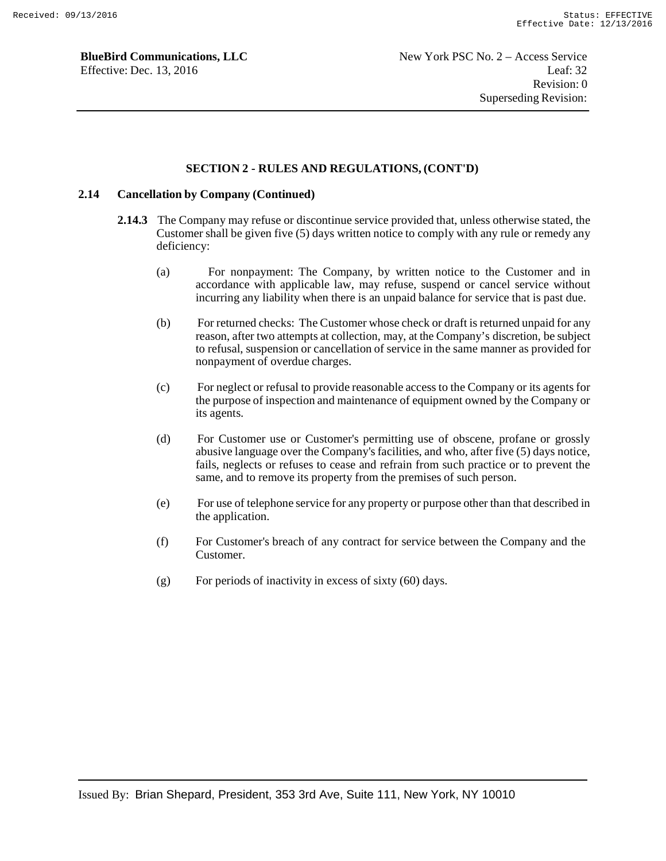### **SECTION 2 - RULES AND REGULATIONS, (CONT'D)**

### **2.14 Cancellation by Company (Continued)**

- **2.14.3** The Company may refuse or discontinue service provided that, unless otherwise stated, the Customer shall be given five (5) days written notice to comply with any rule or remedy any deficiency:
	- (a) For nonpayment: The Company, by written notice to the Customer and in accordance with applicable law, may refuse, suspend or cancel service without incurring any liability when there is an unpaid balance for service that is past due.
	- (b) For returned checks: The Customer whose check or draft is returned unpaid for any reason, after two attempts at collection, may, at the Company's discretion, be subject to refusal, suspension or cancellation of service in the same manner as provided for nonpayment of overdue charges.
	- (c) For neglect or refusal to provide reasonable access to the Company or its agents for the purpose of inspection and maintenance of equipment owned by the Company or its agents.
	- (d) For Customer use or Customer's permitting use of obscene, profane or grossly abusive language over the Company's facilities, and who, after five (5) days notice, fails, neglects or refuses to cease and refrain from such practice or to prevent the same, and to remove its property from the premises of such person.
	- (e) For use of telephone service for any property or purpose other than that described in the application.
	- (f) For Customer's breach of any contract for service between the Company and the Customer.
	- (g) For periods of inactivity in excess of sixty  $(60)$  days.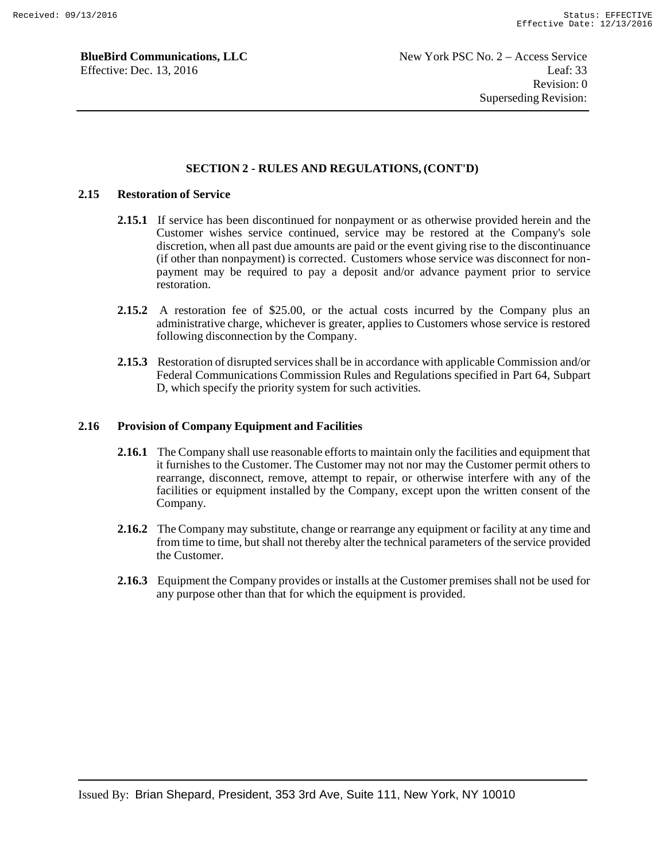### **SECTION 2 - RULES AND REGULATIONS, (CONT'D)**

### **2.15 Restoration of Service**

- **2.15.1** If service has been discontinued for nonpayment or as otherwise provided herein and the Customer wishes service continued, service may be restored at the Company's sole discretion, when all past due amounts are paid or the event giving rise to the discontinuance (if other than nonpayment) is corrected. Customers whose service was disconnect for nonpayment may be required to pay a deposit and/or advance payment prior to service restoration.
- **2.15.2** A restoration fee of \$25.00, or the actual costs incurred by the Company plus an administrative charge, whichever is greater, applies to Customers whose service is restored following disconnection by the Company.
- **2.15.3** Restoration of disrupted services shall be in accordance with applicable Commission and/or Federal Communications Commission Rules and Regulations specified in Part 64, Subpart D, which specify the priority system for such activities.

#### **2.16 Provision of Company Equipment and Facilities**

- **2.16.1** The Company shall use reasonable efforts to maintain only the facilities and equipment that it furnishes to the Customer. The Customer may not nor may the Customer permit others to rearrange, disconnect, remove, attempt to repair, or otherwise interfere with any of the facilities or equipment installed by the Company, except upon the written consent of the Company.
- **2.16.2** The Company may substitute, change or rearrange any equipment or facility at any time and from time to time, but shall not thereby alter the technical parameters of the service provided the Customer.
- **2.16.3** Equipment the Company provides or installs at the Customer premises shall not be used for any purpose other than that for which the equipment is provided.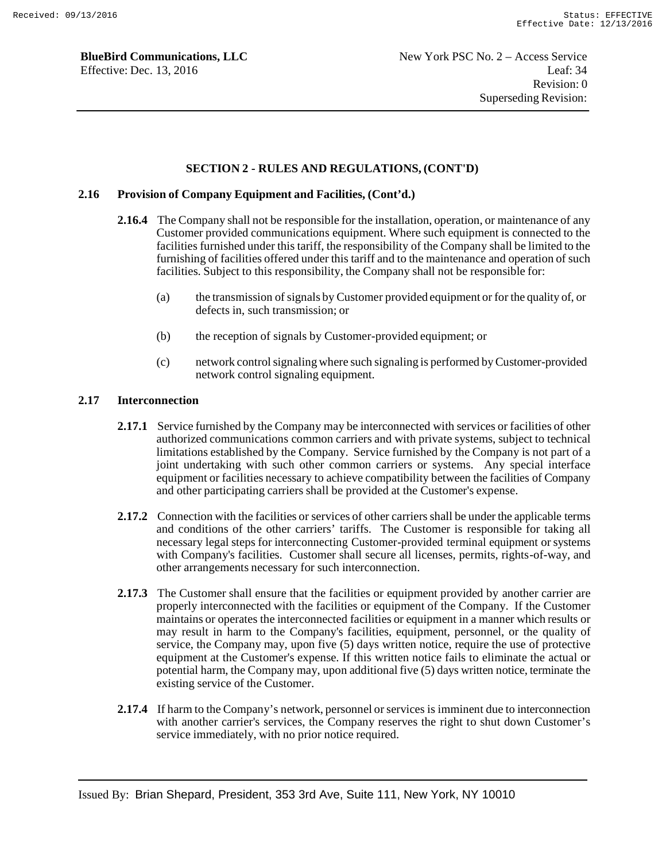### **SECTION 2 - RULES AND REGULATIONS, (CONT'D)**

#### **2.16 Provision of Company Equipment and Facilities, (Cont'd.)**

- **2.16.4** The Company shall not be responsible for the installation, operation, or maintenance of any Customer provided communications equipment. Where such equipment is connected to the facilities furnished under this tariff, the responsibility of the Company shall be limited to the furnishing of facilities offered under this tariff and to the maintenance and operation of such facilities. Subject to this responsibility, the Company shall not be responsible for:
	- (a) the transmission of signals by Customer provided equipment or for the quality of, or defects in, such transmission; or
	- (b) the reception of signals by Customer-provided equipment; or
	- (c) network control signaling where such signaling is performed by Customer-provided network control signaling equipment.

### **2.17 Interconnection**

- **2.17.1** Service furnished by the Company may be interconnected with services or facilities of other authorized communications common carriers and with private systems, subject to technical limitations established by the Company. Service furnished by the Company is not part of a joint undertaking with such other common carriers or systems. Any special interface equipment or facilities necessary to achieve compatibility between the facilities of Company and other participating carriers shall be provided at the Customer's expense.
- **2.17.2** Connection with the facilities or services of other carriers shall be under the applicable terms and conditions of the other carriers' tariffs. The Customer is responsible for taking all necessary legal steps for interconnecting Customer-provided terminal equipment or systems with Company's facilities. Customer shall secure all licenses, permits, rights-of-way, and other arrangements necessary for such interconnection.
- **2.17.3** The Customer shall ensure that the facilities or equipment provided by another carrier are properly interconnected with the facilities or equipment of the Company. If the Customer maintains or operates the interconnected facilities or equipment in a manner which results or may result in harm to the Company's facilities, equipment, personnel, or the quality of service, the Company may, upon five (5) days written notice, require the use of protective equipment at the Customer's expense. If this written notice fails to eliminate the actual or potential harm, the Company may, upon additional five (5) days written notice, terminate the existing service of the Customer.
- **2.17.4** If harm to the Company's network, personnel or services is imminent due to interconnection with another carrier's services, the Company reserves the right to shut down Customer's service immediately, with no prior notice required.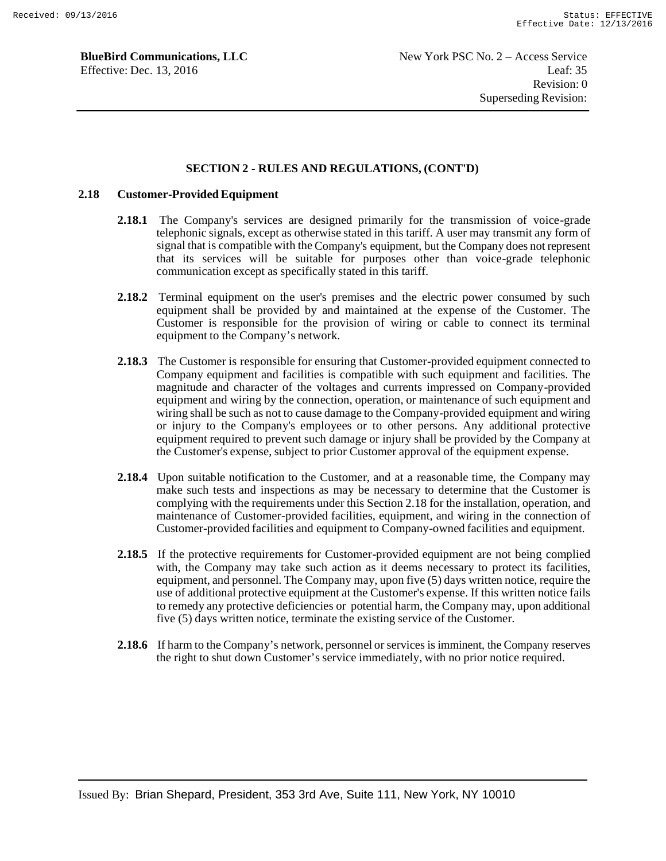### **SECTION 2 - RULES AND REGULATIONS, (CONT'D)**

#### **2.18 Customer-Provided Equipment**

- **2.18.1** The Company's services are designed primarily for the transmission of voice-grade telephonic signals, except as otherwise stated in this tariff. A user may transmit any form of signal that is compatible with the Company's equipment, but the Company does not represent that its services will be suitable for purposes other than voice-grade telephonic communication except as specifically stated in this tariff.
- **2.18.2** Terminal equipment on the user's premises and the electric power consumed by such equipment shall be provided by and maintained at the expense of the Customer. The Customer is responsible for the provision of wiring or cable to connect its terminal equipment to the Company's network.
- **2.18.3** The Customer is responsible for ensuring that Customer-provided equipment connected to Company equipment and facilities is compatible with such equipment and facilities. The magnitude and character of the voltages and currents impressed on Company-provided equipment and wiring by the connection, operation, or maintenance of such equipment and wiring shall be such as not to cause damage to the Company-provided equipment and wiring or injury to the Company's employees or to other persons. Any additional protective equipment required to prevent such damage or injury shall be provided by the Company at the Customer's expense, subject to prior Customer approval of the equipment expense.
- **2.18.4** Upon suitable notification to the Customer, and at a reasonable time, the Company may make such tests and inspections as may be necessary to determine that the Customer is complying with the requirements under this Section 2.18 for the installation, operation, and maintenance of Customer-provided facilities, equipment, and wiring in the connection of Customer-provided facilities and equipment to Company-owned facilities and equipment.
- **2.18.5** If the protective requirements for Customer-provided equipment are not being complied with, the Company may take such action as it deems necessary to protect its facilities, equipment, and personnel. The Company may, upon five (5) days written notice, require the use of additional protective equipment at the Customer's expense. If this written notice fails to remedy any protective deficiencies or potential harm, the Company may, upon additional five (5) days written notice, terminate the existing service of the Customer.
- **2.18.6** If harm to the Company's network, personnel or services is imminent, the Company reserves the right to shut down Customer's service immediately, with no prior notice required.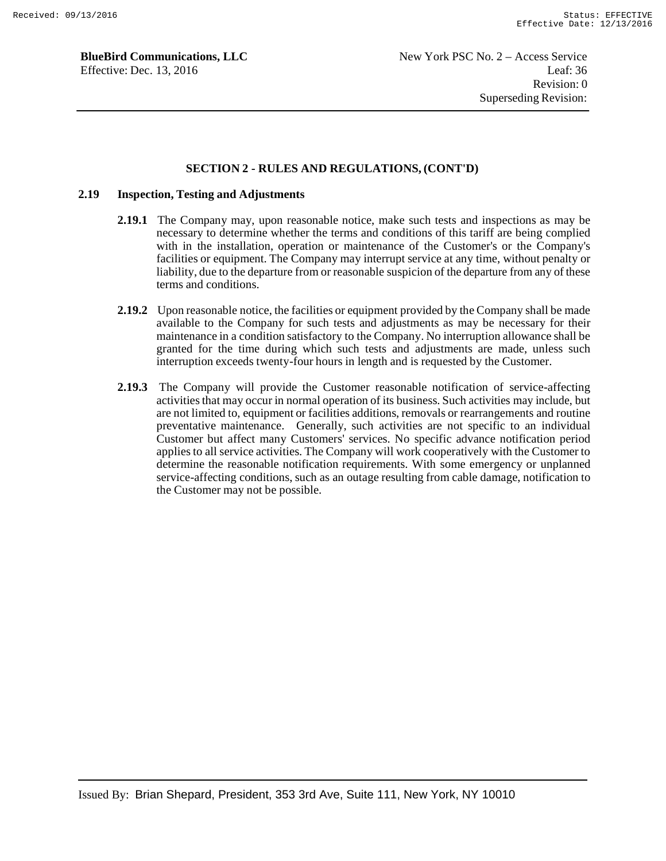#### **SECTION 2 - RULES AND REGULATIONS, (CONT'D)**

### **2.19 Inspection, Testing and Adjustments**

- **2.19.1** The Company may, upon reasonable notice, make such tests and inspections as may be necessary to determine whether the terms and conditions of this tariff are being complied with in the installation, operation or maintenance of the Customer's or the Company's facilities or equipment. The Company may interrupt service at any time, without penalty or liability, due to the departure from or reasonable suspicion of the departure from any of these terms and conditions.
- **2.19.2** Upon reasonable notice, the facilities or equipment provided by the Company shall be made available to the Company for such tests and adjustments as may be necessary for their maintenance in a condition satisfactory to the Company. No interruption allowance shall be granted for the time during which such tests and adjustments are made, unless such interruption exceeds twenty-four hours in length and is requested by the Customer.
- **2.19.3** The Company will provide the Customer reasonable notification of service-affecting activities that may occur in normal operation of its business. Such activities may include, but are not limited to, equipment or facilities additions, removals or rearrangements and routine preventative maintenance. Generally, such activities are not specific to an individual Customer but affect many Customers' services. No specific advance notification period applies to all service activities. The Company will work cooperatively with the Customer to determine the reasonable notification requirements. With some emergency or unplanned service-affecting conditions, such as an outage resulting from cable damage, notification to the Customer may not be possible.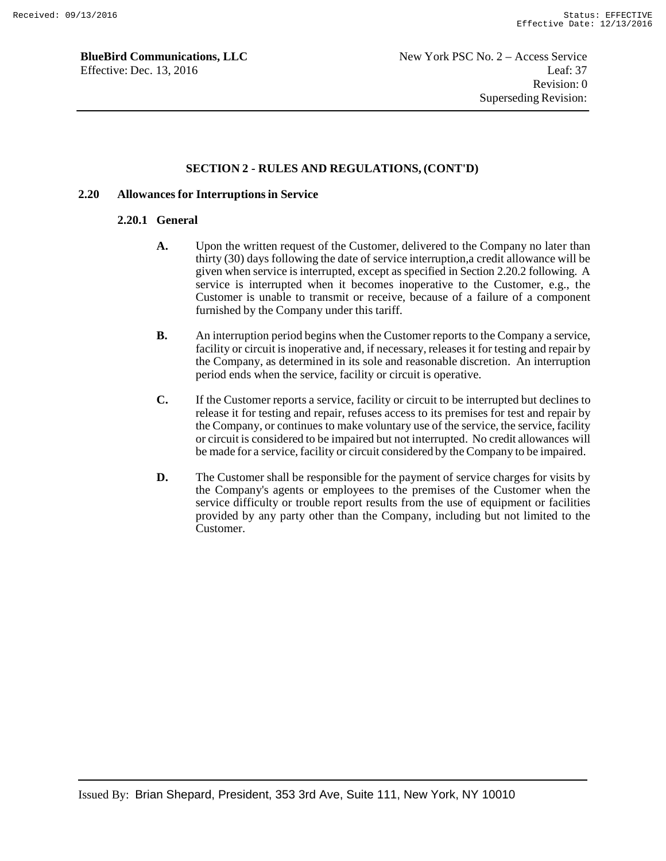### **SECTION 2 - RULES AND REGULATIONS, (CONT'D)**

#### **2.20 Allowances for Interruptions in Service**

#### **2.20.1 General**

- **A.** Upon the written request of the Customer, delivered to the Company no later than thirty (30) days following the date of service interruption,a credit allowance will be given when service is interrupted, except as specified in Section 2.20.2 following. A service is interrupted when it becomes inoperative to the Customer, e.g., the Customer is unable to transmit or receive, because of a failure of a component furnished by the Company under this tariff.
- **B.** An interruption period begins when the Customer reports to the Company a service, facility or circuit is inoperative and, if necessary, releases it for testing and repair by the Company, as determined in its sole and reasonable discretion. An interruption period ends when the service, facility or circuit is operative.
- **C.** If the Customer reports a service, facility or circuit to be interrupted but declines to release it for testing and repair, refuses access to its premises for test and repair by the Company, or continues to make voluntary use of the service, the service, facility or circuit is considered to be impaired but not interrupted. No credit allowances will be made for a service, facility or circuit considered by the Company to be impaired.
- **D.** The Customer shall be responsible for the payment of service charges for visits by the Company's agents or employees to the premises of the Customer when the service difficulty or trouble report results from the use of equipment or facilities provided by any party other than the Company, including but not limited to the Customer.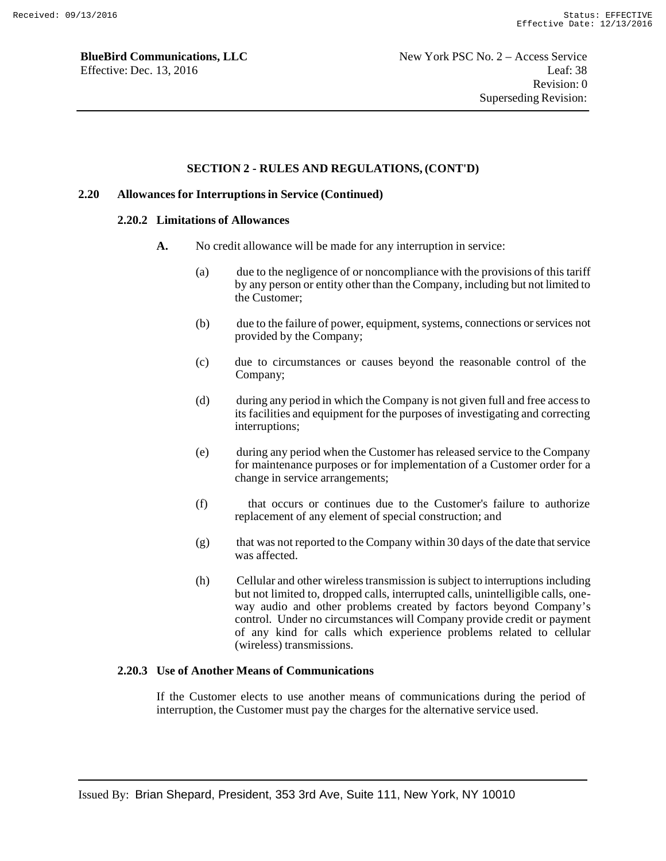#### **SECTION 2 - RULES AND REGULATIONS, (CONT'D)**

#### **2.20 Allowances for Interruptions in Service (Continued)**

#### **2.20.2 Limitations of Allowances**

- **A.** No credit allowance will be made for any interruption in service:
	- (a) due to the negligence of or noncompliance with the provisions of this tariff by any person or entity other than the Company, including but not limited to the Customer;
	- (b) due to the failure of power, equipment, systems, connections or services not provided by the Company;
	- (c) due to circumstances or causes beyond the reasonable control of the Company;
	- (d) during any period in which the Company is not given full and free access to its facilities and equipment for the purposes of investigating and correcting interruptions;
	- (e) during any period when the Customer has released service to the Company for maintenance purposes or for implementation of a Customer order for a change in service arrangements;
	- (f) that occurs or continues due to the Customer's failure to authorize replacement of any element of special construction; and
	- (g) that was not reported to the Company within 30 days of the date that service was affected.
	- (h) Cellular and other wireless transmission is subject to interruptions including but not limited to, dropped calls, interrupted calls, unintelligible calls, oneway audio and other problems created by factors beyond Company's control. Under no circumstances will Company provide credit or payment of any kind for calls which experience problems related to cellular (wireless) transmissions.

### **2.20.3 Use of Another Means of Communications**

If the Customer elects to use another means of communications during the period of interruption, the Customer must pay the charges for the alternative service used.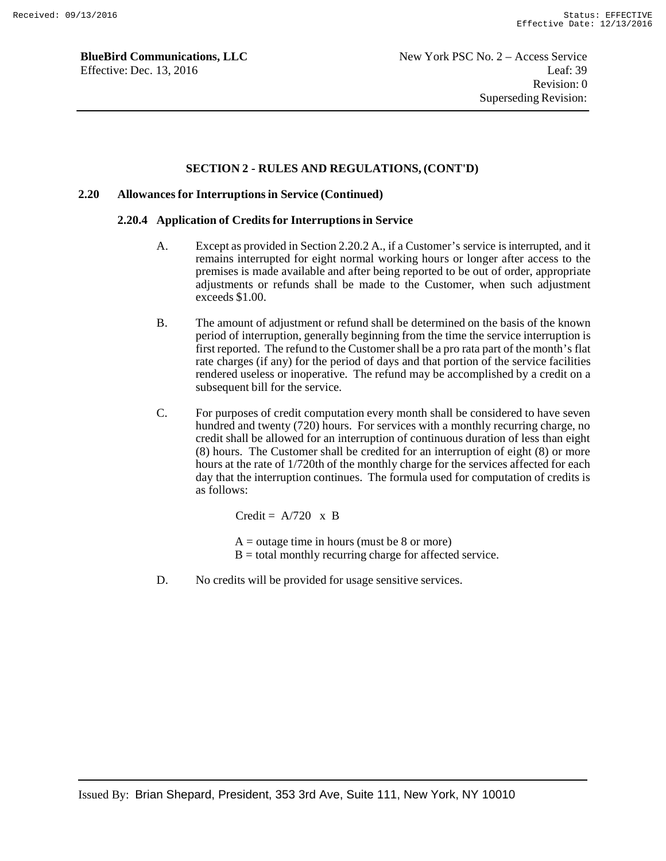#### **SECTION 2 - RULES AND REGULATIONS, (CONT'D)**

#### **2.20 Allowances for Interruptions in Service (Continued)**

#### **2.20.4 Application of Credits for Interruptions in Service**

- A. Except as provided in Section 2.20.2 A., if a Customer's service is interrupted, and it remains interrupted for eight normal working hours or longer after access to the premises is made available and after being reported to be out of order, appropriate adjustments or refunds shall be made to the Customer, when such adjustment exceeds \$1.00.
- B. The amount of adjustment or refund shall be determined on the basis of the known period of interruption, generally beginning from the time the service interruption is first reported. The refund to the Customer shall be a pro rata part of the month's flat rate charges (if any) for the period of days and that portion of the service facilities rendered useless or inoperative. The refund may be accomplished by a credit on a subsequent bill for the service.
- C. For purposes of credit computation every month shall be considered to have seven hundred and twenty (720) hours. For services with a monthly recurring charge, no credit shall be allowed for an interruption of continuous duration of less than eight (8) hours. The Customer shall be credited for an interruption of eight (8) or more hours at the rate of 1/720th of the monthly charge for the services affected for each day that the interruption continues. The formula used for computation of credits is as follows:

Credit =  $A/720 \times B$ 

- $A =$  outage time in hours (must be 8 or more)  $B =$  total monthly recurring charge for affected service.
- D. No credits will be provided for usage sensitive services.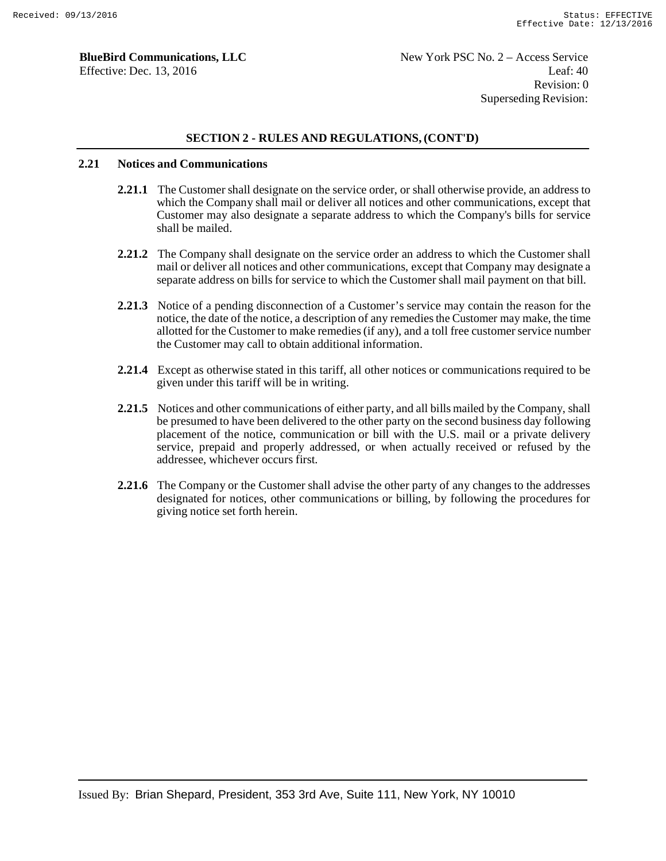### **SECTION 2 - RULES AND REGULATIONS, (CONT'D)**

#### **2.21 Notices and Communications**

- **2.21.1** The Customer shall designate on the service order, or shall otherwise provide, an address to which the Company shall mail or deliver all notices and other communications, except that Customer may also designate a separate address to which the Company's bills for service shall be mailed.
- **2.21.2** The Company shall designate on the service order an address to which the Customer shall mail or deliver all notices and other communications, except that Company may designate a separate address on bills for service to which the Customer shall mail payment on that bill.
- **2.21.3** Notice of a pending disconnection of a Customer's service may contain the reason for the notice, the date of the notice, a description of any remedies the Customer may make, the time allotted for the Customer to make remedies (if any), and a toll free customer service number the Customer may call to obtain additional information.
- **2.21.4** Except as otherwise stated in this tariff, all other notices or communications required to be given under this tariff will be in writing.
- **2.21.5** Notices and other communications of either party, and all bills mailed by the Company, shall be presumed to have been delivered to the other party on the second business day following placement of the notice, communication or bill with the U.S. mail or a private delivery service, prepaid and properly addressed, or when actually received or refused by the addressee, whichever occurs first.
- **2.21.6** The Company or the Customer shall advise the other party of any changes to the addresses designated for notices, other communications or billing, by following the procedures for giving notice set forth herein.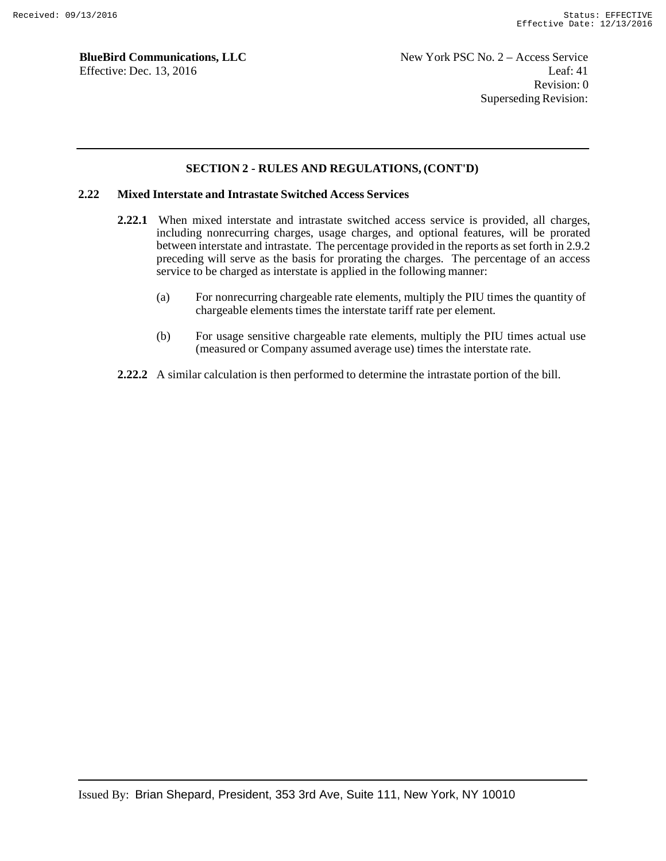### **SECTION 2 - RULES AND REGULATIONS, (CONT'D)**

### **2.22 Mixed Interstate and Intrastate Switched Access Services**

- **2.22.1** When mixed interstate and intrastate switched access service is provided, all charges, including nonrecurring charges, usage charges, and optional features, will be prorated between interstate and intrastate. The percentage provided in the reports as set forth in 2.9.2 preceding will serve as the basis for prorating the charges. The percentage of an access service to be charged as interstate is applied in the following manner:
	- (a) For nonrecurring chargeable rate elements, multiply the PIU times the quantity of chargeable elements times the interstate tariff rate per element.
	- (b) For usage sensitive chargeable rate elements, multiply the PIU times actual use (measured or Company assumed average use) times the interstate rate.
- **2.22.2** A similar calculation is then performed to determine the intrastate portion of the bill.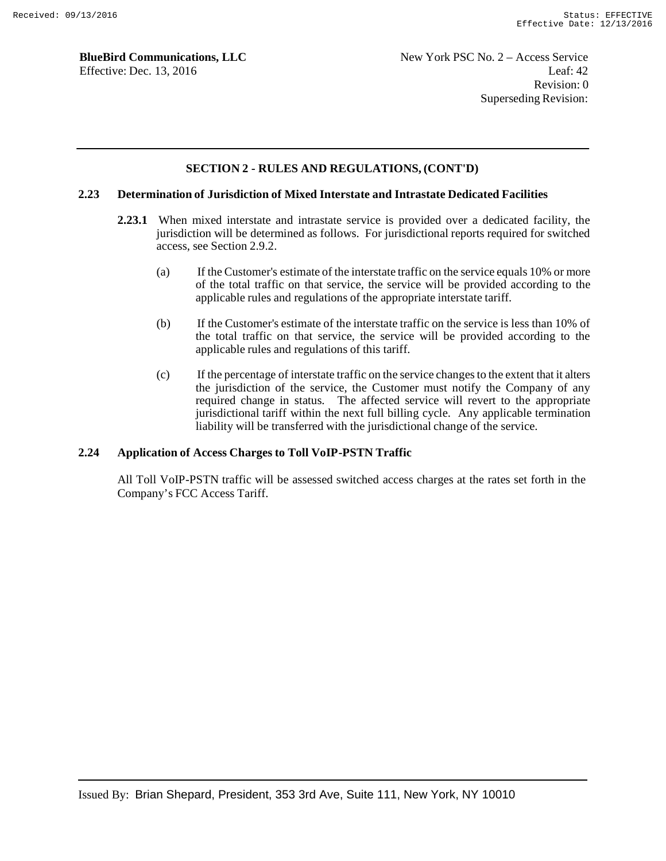### **SECTION 2 - RULES AND REGULATIONS, (CONT'D)**

### **2.23 Determination of Jurisdiction of Mixed Interstate and Intrastate Dedicated Facilities**

- **2.23.1** When mixed interstate and intrastate service is provided over a dedicated facility, the jurisdiction will be determined as follows. For jurisdictional reports required for switched access, see Section 2.9.2.
	- (a) If the Customer's estimate of the interstate traffic on the service equals 10% or more of the total traffic on that service, the service will be provided according to the applicable rules and regulations of the appropriate interstate tariff.
	- (b) If the Customer's estimate of the interstate traffic on the service is less than 10% of the total traffic on that service, the service will be provided according to the applicable rules and regulations of this tariff.
	- (c) If the percentage of interstate traffic on the service changes to the extent that it alters the jurisdiction of the service, the Customer must notify the Company of any required change in status. The affected service will revert to the appropriate jurisdictional tariff within the next full billing cycle. Any applicable termination liability will be transferred with the jurisdictional change of the service.

#### **2.24 Application of Access Charges to Toll VoIP-PSTN Traffic**

All Toll VoIP-PSTN traffic will be assessed switched access charges at the rates set forth in the Company's FCC Access Tariff.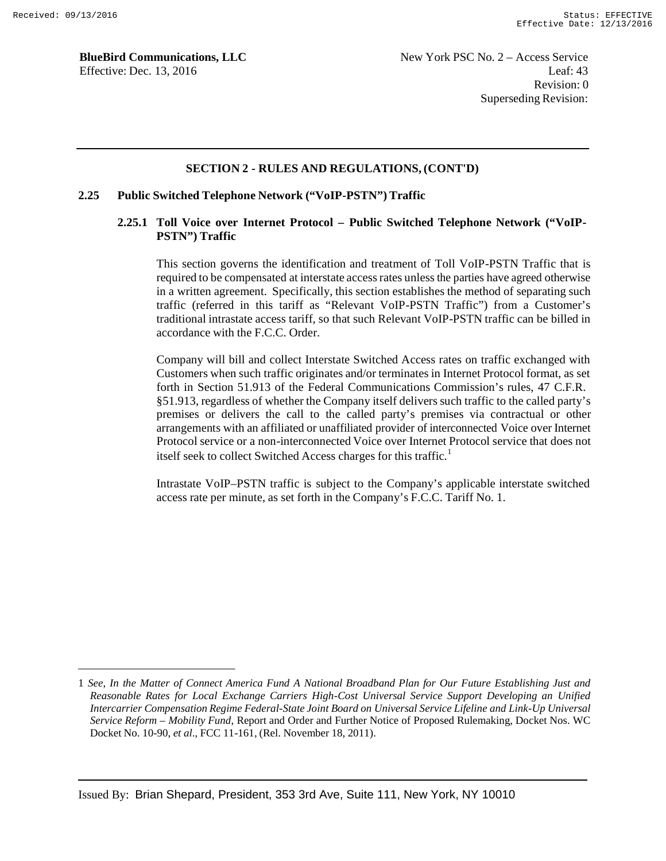### **SECTION 2 - RULES AND REGULATIONS, (CONT'D)**

### **2.25 Public Switched Telephone Network ("VoIP-PSTN") Traffic**

### **2.25.1 Toll Voice over Internet Protocol – Public Switched Telephone Network ("VoIP-PSTN") Traffic**

This section governs the identification and treatment of Toll VoIP-PSTN Traffic that is required to be compensated at interstate access rates unless the parties have agreed otherwise in a written agreement. Specifically, this section establishes the method of separating such traffic (referred in this tariff as "Relevant VoIP-PSTN Traffic") from a Customer's traditional intrastate access tariff, so that such Relevant VoIP-PSTN traffic can be billed in accordance with the F.C.C. Order.

Company will bill and collect Interstate Switched Access rates on traffic exchanged with Customers when such traffic originates and/or terminates in Internet Protocol format, as set forth in Section 51.913 of the Federal Communications Commission's rules, 47 C.F.R. §51.913, regardless of whether the Company itself delivers such traffic to the called party's premises or delivers the call to the called party's premises via contractual or other arrangements with an affiliated or unaffiliated provider of interconnected Voice over Internet Protocol service or a non-interconnected Voice over Internet Protocol service that does not itself seek to collect Switched Access charges for this traffic.<sup>1</sup>

Intrastate VoIP–PSTN traffic is subject to the Company's applicable interstate switched access rate per minute, as set forth in the Company's F.C.C. Tariff No. 1.

<sup>1</sup> *See*, *In the Matter of Connect America Fund A National Broadband Plan for Our Future Establishing Just and Reasonable Rates for Local Exchange Carriers High-Cost Universal Service Support Developing an Unified Intercarrier Compensation Regime Federal-State Joint Board on Universal Service Lifeline and Link-Up Universal Service Reform – Mobility Fund*, Report and Order and Further Notice of Proposed Rulemaking, Docket Nos. WC Docket No. 10-90, *et al*., FCC 11-161, (Rel. November 18, 2011).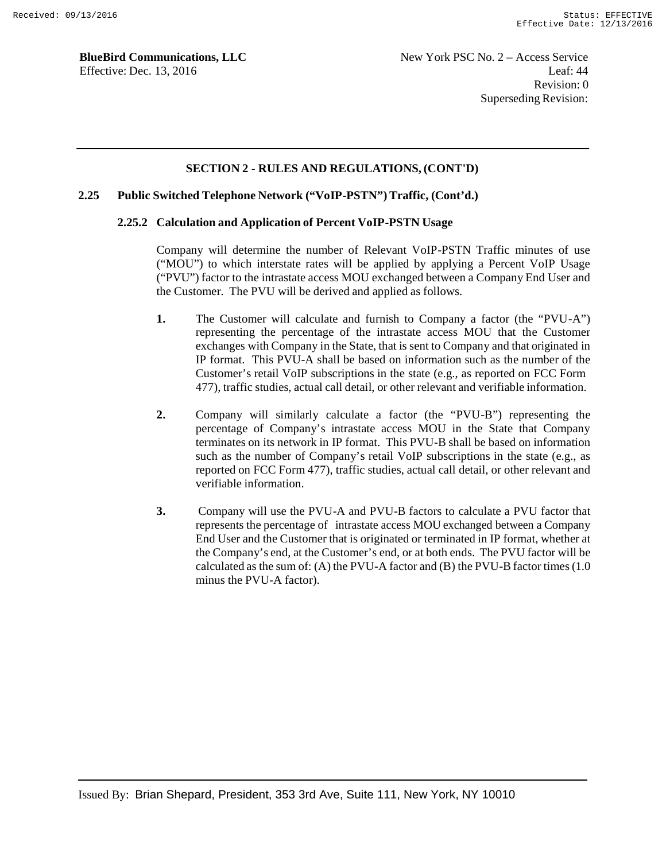### **SECTION 2 - RULES AND REGULATIONS, (CONT'D)**

### **2.25 Public Switched Telephone Network ("VoIP-PSTN") Traffic, (Cont'd.)**

### **2.25.2 Calculation and Application of Percent VoIP-PSTN Usage**

Company will determine the number of Relevant VoIP-PSTN Traffic minutes of use ("MOU") to which interstate rates will be applied by applying a Percent VoIP Usage ("PVU") factor to the intrastate access MOU exchanged between a Company End User and the Customer. The PVU will be derived and applied as follows.

- **1.** The Customer will calculate and furnish to Company a factor (the "PVU-A") representing the percentage of the intrastate access MOU that the Customer exchanges with Company in the State, that is sent to Company and that originated in IP format. This PVU-A shall be based on information such as the number of the Customer's retail VoIP subscriptions in the state (e.g., as reported on FCC Form 477), traffic studies, actual call detail, or other relevant and verifiable information.
- **2.** Company will similarly calculate a factor (the "PVU-B") representing the percentage of Company's intrastate access MOU in the State that Company terminates on its network in IP format. This PVU-B shall be based on information such as the number of Company's retail VoIP subscriptions in the state (e.g., as reported on FCC Form 477), traffic studies, actual call detail, or other relevant and verifiable information.
- **3.** Company will use the PVU-A and PVU-B factors to calculate a PVU factor that represents the percentage of intrastate access MOU exchanged between a Company End User and the Customer that is originated or terminated in IP format, whether at the Company's end, at the Customer's end, or at both ends. The PVU factor will be calculated as the sum of: (A) the PVU-A factor and (B) the PVU-B factor times  $(1.0)$ minus the PVU-A factor).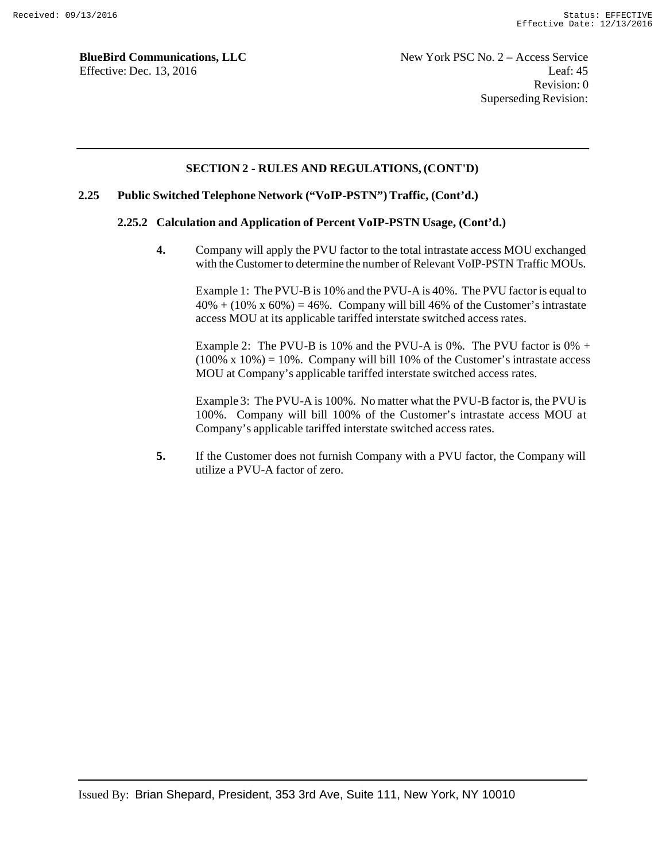### **SECTION 2 - RULES AND REGULATIONS, (CONT'D)**

#### **2.25 Public Switched Telephone Network ("VoIP-PSTN") Traffic, (Cont'd.)**

#### **2.25.2 Calculation and Application of Percent VoIP-PSTN Usage, (Cont'd.)**

**4.** Company will apply the PVU factor to the total intrastate access MOU exchanged with the Customer to determine the number of Relevant VoIP-PSTN Traffic MOUs.

Example 1: The PVU-B is 10% and the PVU-A is 40%. The PVU factor is equal to  $40\% + (10\% \times 60\%) = 46\%$ . Company will bill 46% of the Customer's intrastate access MOU at its applicable tariffed interstate switched access rates.

Example 2: The PVU-B is 10% and the PVU-A is 0%. The PVU factor is  $0\% +$  $(100\% \times 10\%) = 10\%$ . Company will bill 10% of the Customer's intrastate access MOU at Company's applicable tariffed interstate switched access rates.

Example 3: The PVU-A is 100%. No matter what the PVU-B factor is, the PVU is 100%. Company will bill 100% of the Customer's intrastate access MOU at Company's applicable tariffed interstate switched access rates.

**5.** If the Customer does not furnish Company with a PVU factor, the Company will utilize a PVU-A factor of zero.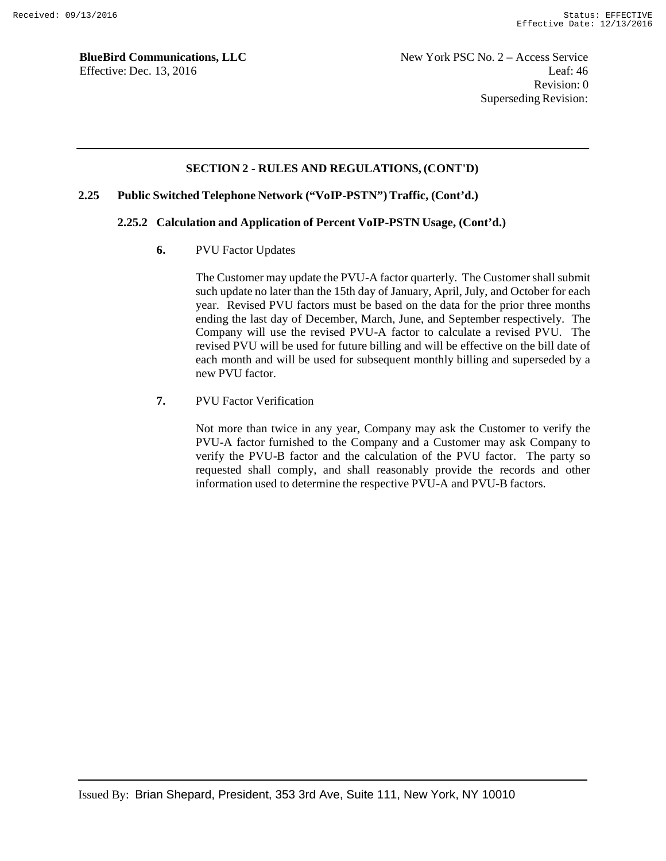New York PSC No. 2 – Access Service Leaf: 46 Revision: 0 Superseding Revision:

### **SECTION 2 - RULES AND REGULATIONS, (CONT'D)**

#### **2.25 Public Switched Telephone Network ("VoIP-PSTN") Traffic, (Cont'd.)**

### **2.25.2 Calculation and Application of Percent VoIP-PSTN Usage, (Cont'd.)**

**6.** PVU Factor Updates

The Customer may update the PVU-A factor quarterly. The Customer shall submit such update no later than the 15th day of January, April, July, and October for each year. Revised PVU factors must be based on the data for the prior three months ending the last day of December, March, June, and September respectively. The Company will use the revised PVU-A factor to calculate a revised PVU. The revised PVU will be used for future billing and will be effective on the bill date of each month and will be used for subsequent monthly billing and superseded by a new PVU factor.

**7.** PVU Factor Verification

Not more than twice in any year, Company may ask the Customer to verify the PVU-A factor furnished to the Company and a Customer may ask Company to verify the PVU-B factor and the calculation of the PVU factor. The party so requested shall comply, and shall reasonably provide the records and other information used to determine the respective PVU-A and PVU-B factors.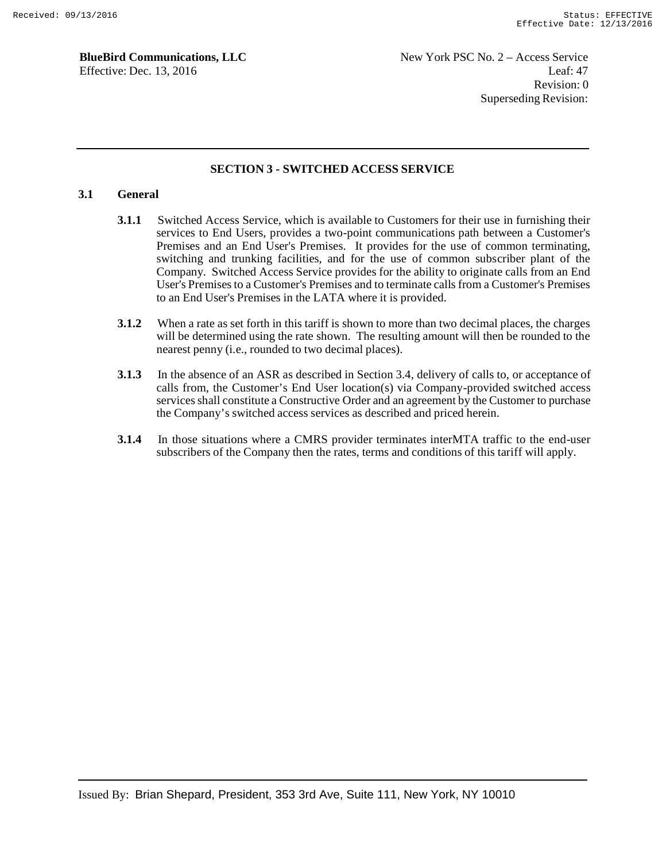### **SECTION 3 - SWITCHED ACCESS SERVICE**

### **3.1 General**

- **3.1.1** Switched Access Service, which is available to Customers for their use in furnishing their services to End Users, provides a two-point communications path between a Customer's Premises and an End User's Premises. It provides for the use of common terminating, switching and trunking facilities, and for the use of common subscriber plant of the Company. Switched Access Service provides for the ability to originate calls from an End User's Premises to a Customer's Premises and to terminate calls from a Customer's Premises to an End User's Premises in the LATA where it is provided.
- **3.1.2** When a rate as set forth in this tariff is shown to more than two decimal places, the charges will be determined using the rate shown. The resulting amount will then be rounded to the nearest penny (i.e., rounded to two decimal places).
- **3.1.3** In the absence of an ASR as described in Section 3.4, delivery of calls to, or acceptance of calls from, the Customer's End User location(s) via Company-provided switched access services shall constitute a Constructive Order and an agreement by the Customer to purchase the Company's switched access services as described and priced herein.
- **3.1.4** In those situations where a CMRS provider terminates interMTA traffic to the end-user subscribers of the Company then the rates, terms and conditions of this tariff will apply.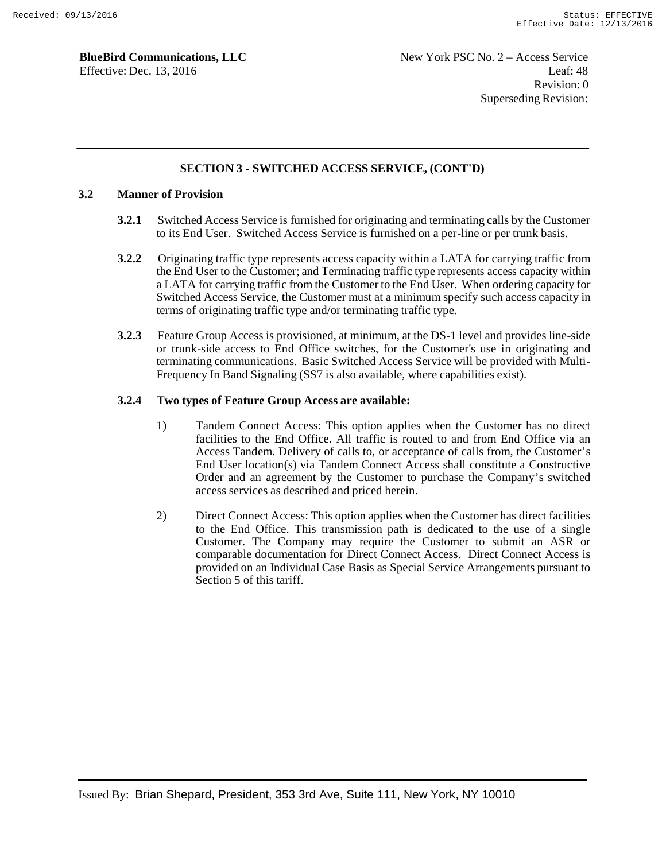### **SECTION 3 - SWITCHED ACCESS SERVICE, (CONT'D)**

### **3.2 Manner of Provision**

- **3.2.1** Switched Access Service is furnished for originating and terminating calls by the Customer to its End User. Switched Access Service is furnished on a per-line or per trunk basis.
- **3.2.2** Originating traffic type represents access capacity within a LATA for carrying traffic from the End User to the Customer; and Terminating traffic type represents access capacity within a LATA for carrying traffic from the Customer to the End User. When ordering capacity for Switched Access Service, the Customer must at a minimum specify such access capacity in terms of originating traffic type and/or terminating traffic type.
- **3.2.3** Feature Group Access is provisioned, at minimum, at the DS-1 level and provides line-side or trunk-side access to End Office switches, for the Customer's use in originating and terminating communications. Basic Switched Access Service will be provided with Multi-Frequency In Band Signaling (SS7 is also available, where capabilities exist).

### **3.2.4 Two types of Feature Group Access are available:**

- 1) Tandem Connect Access: This option applies when the Customer has no direct facilities to the End Office. All traffic is routed to and from End Office via an Access Tandem. Delivery of calls to, or acceptance of calls from, the Customer's End User location(s) via Tandem Connect Access shall constitute a Constructive Order and an agreement by the Customer to purchase the Company's switched access services as described and priced herein.
- 2) Direct Connect Access: This option applies when the Customer has direct facilities to the End Office. This transmission path is dedicated to the use of a single Customer. The Company may require the Customer to submit an ASR or comparable documentation for Direct Connect Access. Direct Connect Access is provided on an Individual Case Basis as Special Service Arrangements pursuant to Section 5 of this tariff.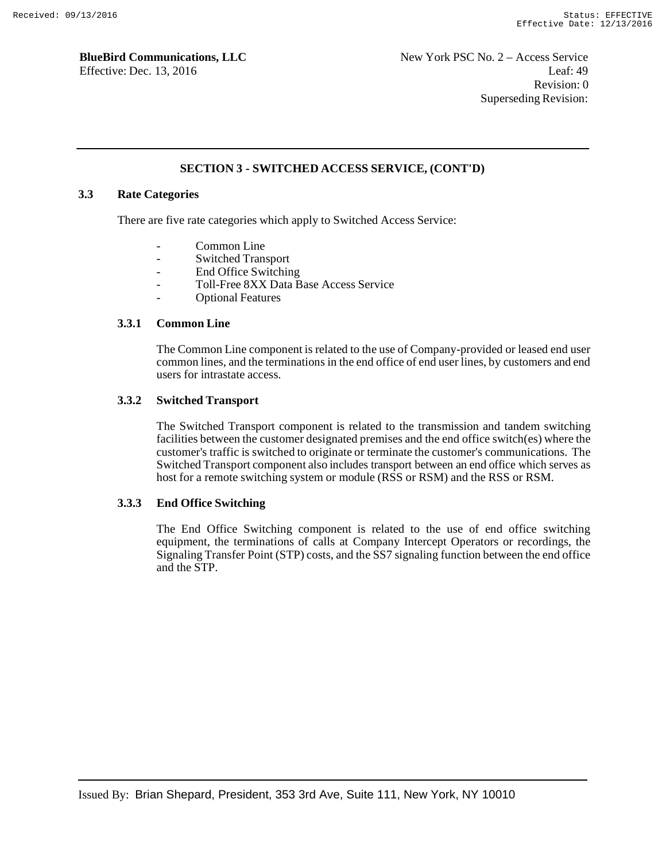### **SECTION 3 - SWITCHED ACCESS SERVICE, (CONT'D)**

### **3.3 Rate Categories**

There are five rate categories which apply to Switched Access Service:

- Common Line
- Switched Transport
- End Office Switching
- Toll-Free 8XX Data Base Access Service
- Optional Features

#### **3.3.1 Common Line**

The Common Line component is related to the use of Company-provided or leased end user common lines, and the terminations in the end office of end user lines, by customers and end users for intrastate access.

### **3.3.2 Switched Transport**

The Switched Transport component is related to the transmission and tandem switching facilities between the customer designated premises and the end office switch(es) where the customer's traffic is switched to originate or terminate the customer's communications. The Switched Transport component also includes transport between an end office which serves as host for a remote switching system or module (RSS or RSM) and the RSS or RSM.

### **3.3.3 End Office Switching**

The End Office Switching component is related to the use of end office switching equipment, the terminations of calls at Company Intercept Operators or recordings, the Signaling Transfer Point (STP) costs, and the SS7 signaling function between the end office and the STP.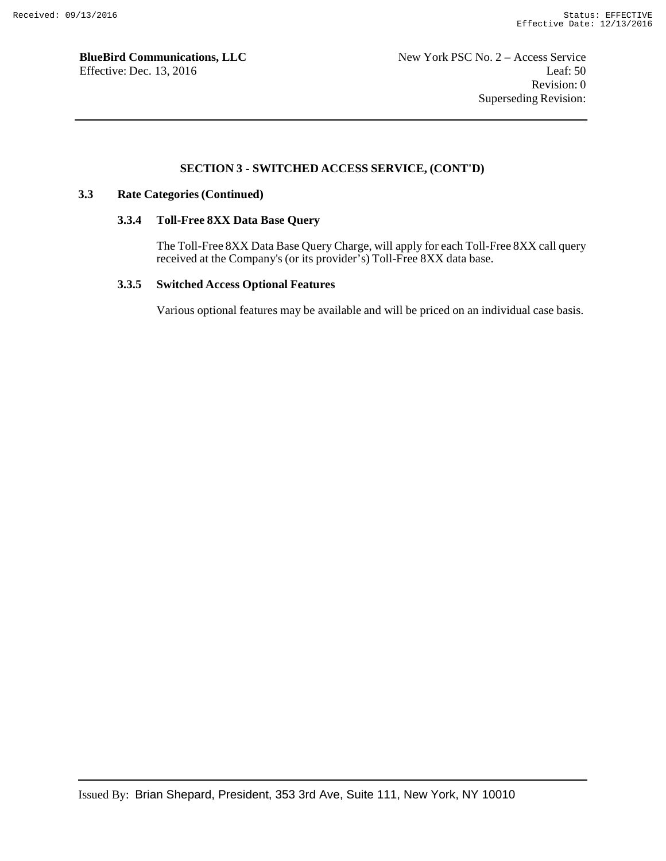### **SECTION 3 - SWITCHED ACCESS SERVICE, (CONT'D)**

#### **3.3 Rate Categories (Continued)**

#### **3.3.4 Toll-Free 8XX Data Base Query**

The Toll-Free 8XX Data Base Query Charge, will apply for each Toll-Free 8XX call query received at the Company's (or its provider's) Toll-Free 8XX data base.

#### **3.3.5 Switched Access Optional Features**

Various optional features may be available and will be priced on an individual case basis.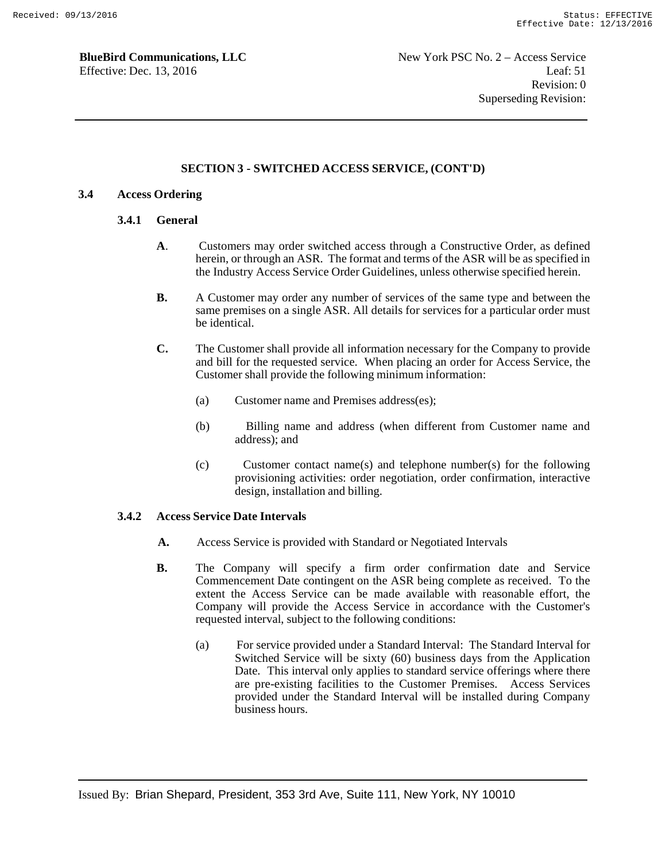### **SECTION 3 - SWITCHED ACCESS SERVICE, (CONT'D)**

### **3.4 Access Ordering**

### **3.4.1 General**

- **A**. Customers may order switched access through a Constructive Order, as defined herein, or through an ASR. The format and terms of the ASR will be as specified in the Industry Access Service Order Guidelines, unless otherwise specified herein.
- **B.** A Customer may order any number of services of the same type and between the same premises on a single ASR. All details for services for a particular order must be identical.
- **C.** The Customer shall provide all information necessary for the Company to provide and bill for the requested service. When placing an order for Access Service, the Customer shall provide the following minimum information:
	- (a) Customer name and Premises address(es);
	- (b) Billing name and address (when different from Customer name and address); and
	- (c) Customer contact name(s) and telephone number(s) for the following provisioning activities: order negotiation, order confirmation, interactive design, installation and billing.

### **3.4.2 Access Service Date Intervals**

- **A.** Access Service is provided with Standard or Negotiated Intervals
- **B.** The Company will specify a firm order confirmation date and Service Commencement Date contingent on the ASR being complete as received. To the extent the Access Service can be made available with reasonable effort, the Company will provide the Access Service in accordance with the Customer's requested interval, subject to the following conditions:
	- (a) For service provided under a Standard Interval: The Standard Interval for Switched Service will be sixty (60) business days from the Application Date. This interval only applies to standard service offerings where there are pre-existing facilities to the Customer Premises. Access Services provided under the Standard Interval will be installed during Company business hours.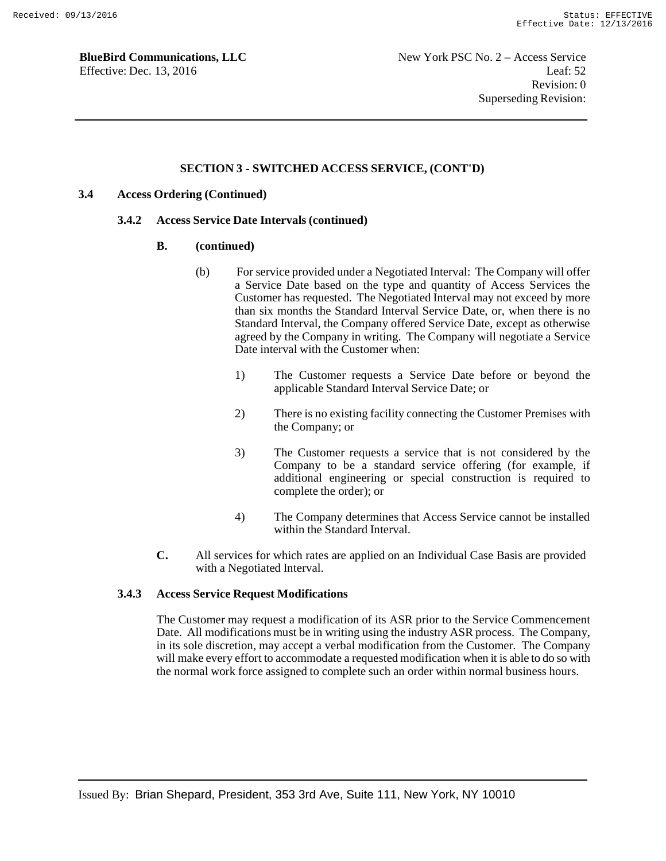### **SECTION 3 - SWITCHED ACCESS SERVICE, (CONT'D)**

### **3.4 Access Ordering (Continued)**

#### **3.4.2 Access Service Date Intervals (continued)**

#### **B. (continued)**

- (b) For service provided under a Negotiated Interval: The Company will offer a Service Date based on the type and quantity of Access Services the Customer has requested. The Negotiated Interval may not exceed by more than six months the Standard Interval Service Date, or, when there is no Standard Interval, the Company offered Service Date, except as otherwise agreed by the Company in writing. The Company will negotiate a Service Date interval with the Customer when:
	- 1) The Customer requests a Service Date before or beyond the applicable Standard Interval Service Date; or
	- 2) There is no existing facility connecting the Customer Premises with the Company; or
	- 3) The Customer requests a service that is not considered by the Company to be a standard service offering (for example, if additional engineering or special construction is required to complete the order); or
	- 4) The Company determines that Access Service cannot be installed within the Standard Interval.
- **C.** All services for which rates are applied on an Individual Case Basis are provided with a Negotiated Interval.

#### **3.4.3 Access Service Request Modifications**

The Customer may request a modification of its ASR prior to the Service Commencement Date. All modifications must be in writing using the industry ASR process. The Company, in its sole discretion, may accept a verbal modification from the Customer. The Company will make every effort to accommodate a requested modification when it is able to do so with the normal work force assigned to complete such an order within normal business hours.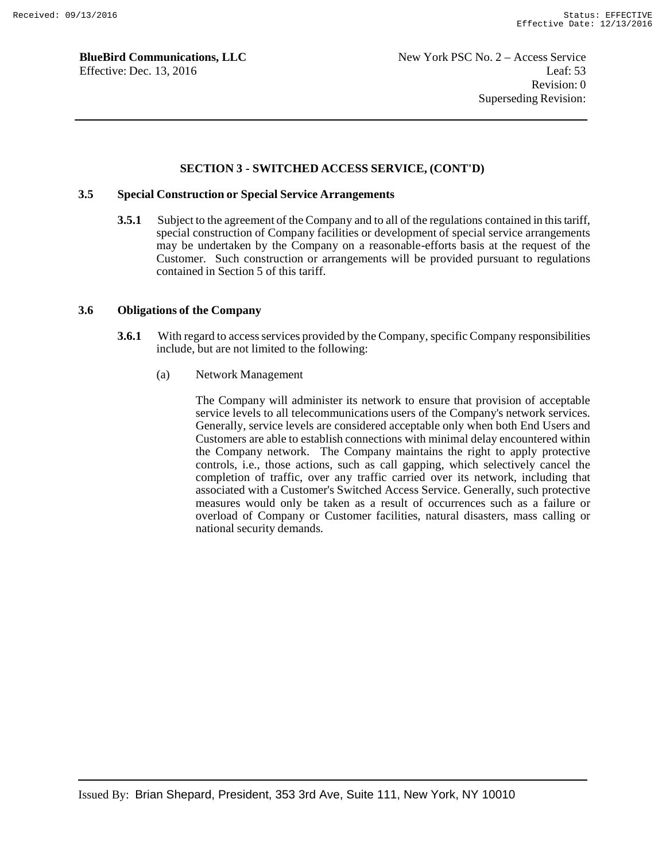#### **SECTION 3 - SWITCHED ACCESS SERVICE, (CONT'D)**

### **3.5 Special Construction or Special Service Arrangements**

**3.5.1** Subject to the agreement of the Company and to all of the regulations contained in this tariff, special construction of Company facilities or development of special service arrangements may be undertaken by the Company on a reasonable-efforts basis at the request of the Customer. Such construction or arrangements will be provided pursuant to regulations contained in Section 5 of this tariff.

#### **3.6 Obligations of the Company**

- **3.6.1** With regard to access services provided by the Company, specific Company responsibilities include, but are not limited to the following:
	- (a) Network Management

The Company will administer its network to ensure that provision of acceptable service levels to all telecommunications users of the Company's network services. Generally, service levels are considered acceptable only when both End Users and Customers are able to establish connections with minimal delay encountered within the Company network. The Company maintains the right to apply protective controls, i.e., those actions, such as call gapping, which selectively cancel the completion of traffic, over any traffic carried over its network, including that associated with a Customer's Switched Access Service. Generally, such protective measures would only be taken as a result of occurrences such as a failure or overload of Company or Customer facilities, natural disasters, mass calling or national security demands.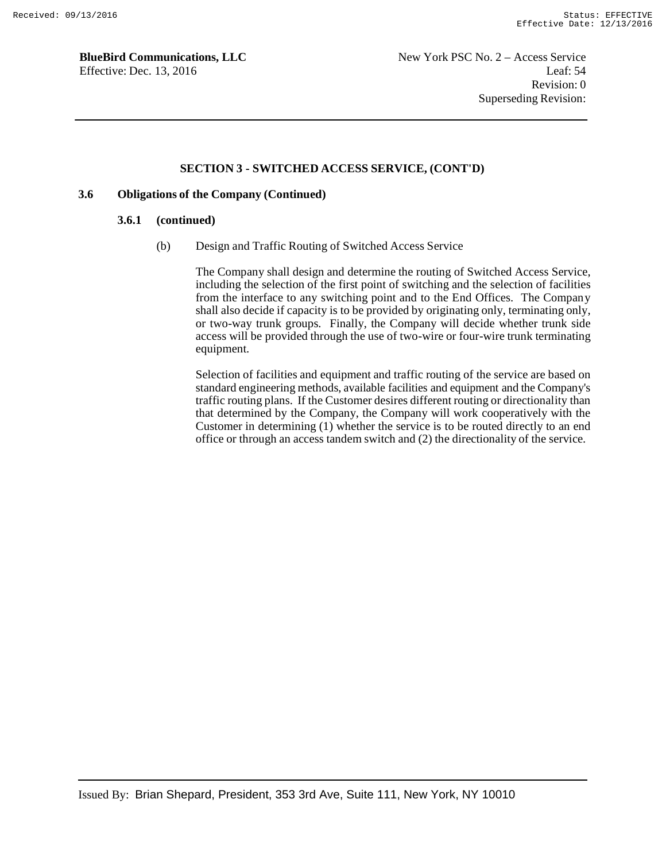### **SECTION 3 - SWITCHED ACCESS SERVICE, (CONT'D)**

### **3.6 Obligations of the Company (Continued)**

#### **3.6.1 (continued)**

(b) Design and Traffic Routing of Switched Access Service

The Company shall design and determine the routing of Switched Access Service, including the selection of the first point of switching and the selection of facilities from the interface to any switching point and to the End Offices. The Compan y shall also decide if capacity is to be provided by originating only, terminating only, or two-way trunk groups. Finally, the Company will decide whether trunk side access will be provided through the use of two-wire or four-wire trunk terminating equipment.

Selection of facilities and equipment and traffic routing of the service are based on standard engineering methods, available facilities and equipment and the Company's traffic routing plans. If the Customer desires different routing or directionality than that determined by the Company, the Company will work cooperatively with the Customer in determining (1) whether the service is to be routed directly to an end office or through an access tandem switch and (2) the directionality of the service.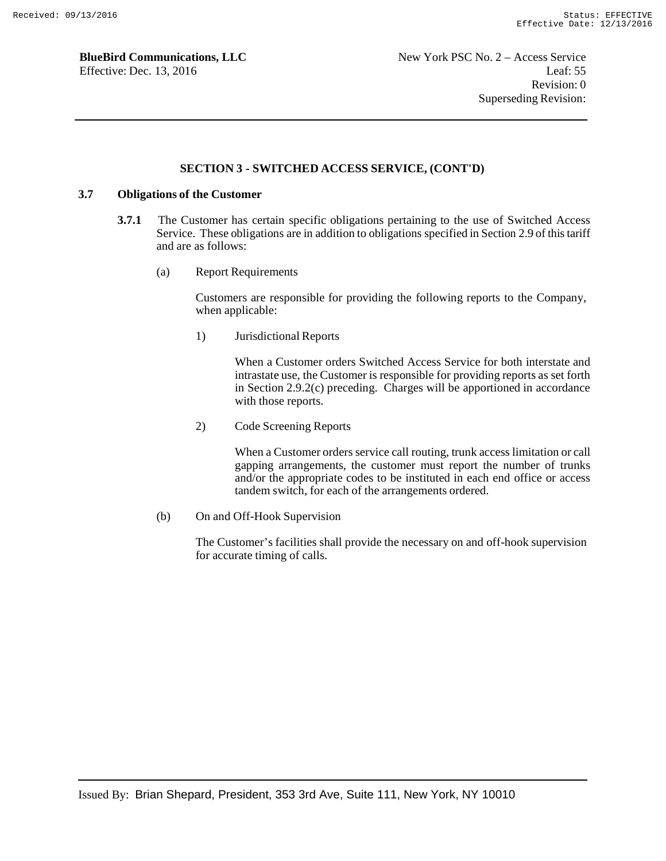### **SECTION 3 - SWITCHED ACCESS SERVICE, (CONT'D)**

### **3.7 Obligations of the Customer**

- **3.7.1** The Customer has certain specific obligations pertaining to the use of Switched Access Service. These obligations are in addition to obligations specified in Section 2.9 of this tariff and are as follows:
	- (a) Report Requirements

Customers are responsible for providing the following reports to the Company, when applicable:

1) Jurisdictional Reports

When a Customer orders Switched Access Service for both interstate and intrastate use, the Customer is responsible for providing reports as set forth in Section 2.9.2(c) preceding. Charges will be apportioned in accordance with those reports.

2) Code Screening Reports

When a Customer orders service call routing, trunk access limitation or call gapping arrangements, the customer must report the number of trunks and/or the appropriate codes to be instituted in each end office or access tandem switch, for each of the arrangements ordered.

(b) On and Off-Hook Supervision

The Customer's facilities shall provide the necessary on and off-hook supervision for accurate timing of calls.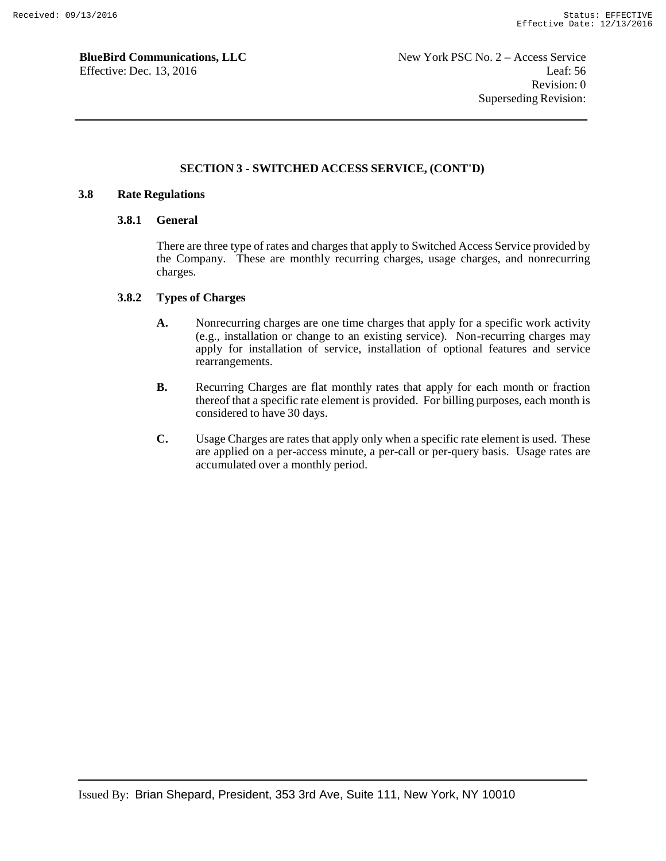### **SECTION 3 - SWITCHED ACCESS SERVICE, (CONT'D)**

### **3.8 Rate Regulations**

#### **3.8.1 General**

There are three type of rates and charges that apply to Switched Access Service provided by the Company. These are monthly recurring charges, usage charges, and nonrecurring charges.

#### **3.8.2 Types of Charges**

- **A.** Nonrecurring charges are one time charges that apply for a specific work activity (e.g., installation or change to an existing service). Non-recurring charges may apply for installation of service, installation of optional features and service rearrangements.
- **B.** Recurring Charges are flat monthly rates that apply for each month or fraction thereof that a specific rate element is provided. For billing purposes, each month is considered to have 30 days.
- **C.** Usage Charges are rates that apply only when a specific rate element is used. These are applied on a per-access minute, a per-call or per-query basis. Usage rates are accumulated over a monthly period.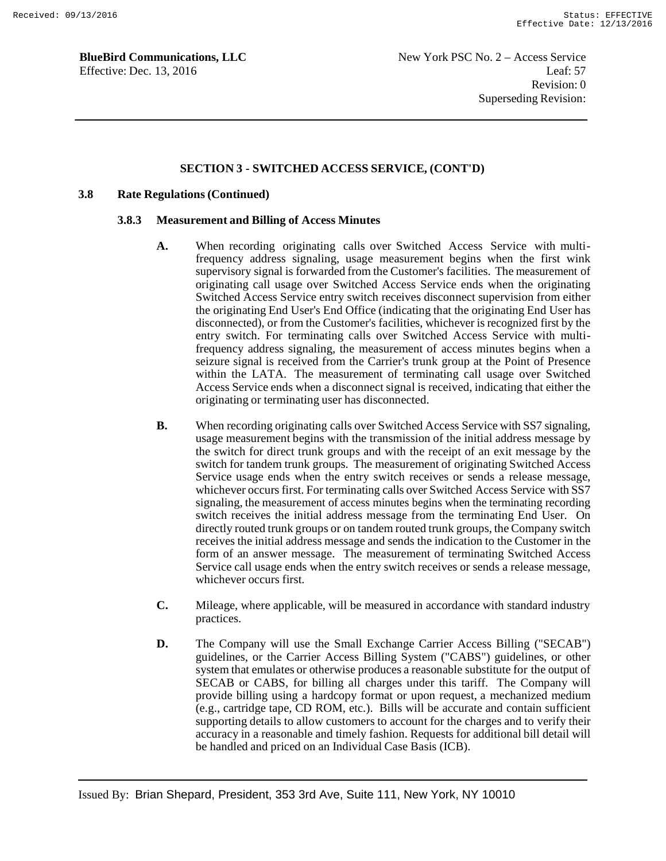### **SECTION 3 - SWITCHED ACCESS SERVICE, (CONT'D)**

#### **3.8 Rate Regulations (Continued)**

#### **3.8.3 Measurement and Billing of Access Minutes**

- **A.** When recording originating calls over Switched Access Service with multifrequency address signaling, usage measurement begins when the first wink supervisory signal is forwarded from the Customer's facilities. The measurement of originating call usage over Switched Access Service ends when the originating Switched Access Service entry switch receives disconnect supervision from either the originating End User's End Office (indicating that the originating End User has disconnected), or from the Customer's facilities, whichever is recognized first by the entry switch. For terminating calls over Switched Access Service with multifrequency address signaling, the measurement of access minutes begins when a seizure signal is received from the Carrier's trunk group at the Point of Presence within the LATA. The measurement of terminating call usage over Switched Access Service ends when a disconnect signal is received, indicating that either the originating or terminating user has disconnected.
- **B.** When recording originating calls over Switched Access Service with SS7 signaling, usage measurement begins with the transmission of the initial address message by the switch for direct trunk groups and with the receipt of an exit message by the switch for tandem trunk groups. The measurement of originating Switched Access Service usage ends when the entry switch receives or sends a release message, whichever occurs first. For terminating calls over Switched Access Service with SS7 signaling, the measurement of access minutes begins when the terminating recording switch receives the initial address message from the terminating End User. On directly routed trunk groups or on tandem routed trunk groups, the Company switch receives the initial address message and sends the indication to the Customer in the form of an answer message. The measurement of terminating Switched Access Service call usage ends when the entry switch receives or sends a release message, whichever occurs first.
- **C.** Mileage, where applicable, will be measured in accordance with standard industry practices.
- **D.** The Company will use the Small Exchange Carrier Access Billing ("SECAB") guidelines, or the Carrier Access Billing System ("CABS") guidelines, or other system that emulates or otherwise produces a reasonable substitute for the output of SECAB or CABS, for billing all charges under this tariff. The Company will provide billing using a hardcopy format or upon request, a mechanized medium (e.g., cartridge tape, CD ROM, etc.). Bills will be accurate and contain sufficient supporting details to allow customers to account for the charges and to verify their accuracy in a reasonable and timely fashion. Requests for additional bill detail will be handled and priced on an Individual Case Basis (ICB).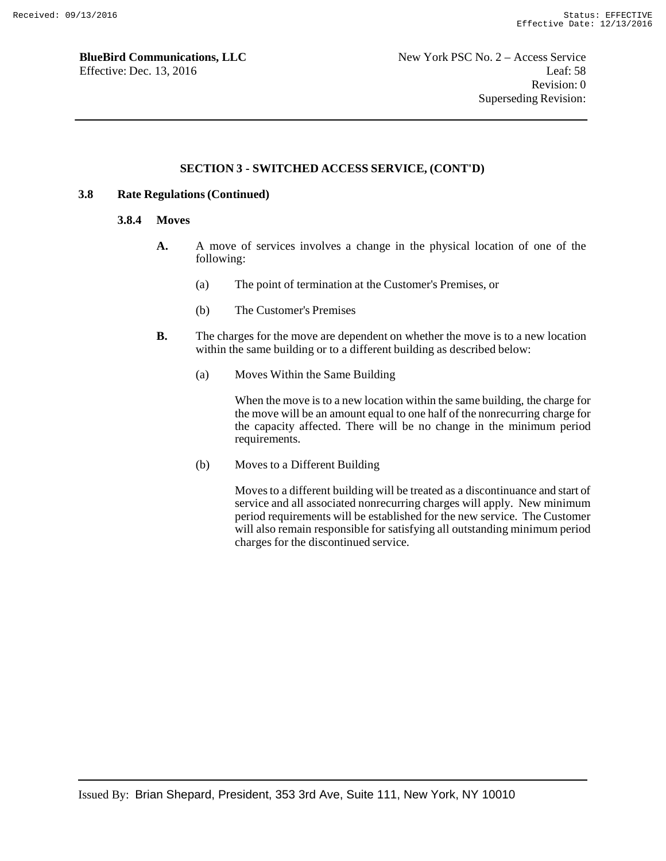### **SECTION 3 - SWITCHED ACCESS SERVICE, (CONT'D)**

### **3.8 Rate Regulations (Continued)**

#### **3.8.4 Moves**

- **A.** A move of services involves a change in the physical location of one of the following:
	- (a) The point of termination at the Customer's Premises, or
	- (b) The Customer's Premises
- **B.** The charges for the move are dependent on whether the move is to a new location within the same building or to a different building as described below:
	- (a) Moves Within the Same Building

When the move is to a new location within the same building, the charge for the move will be an amount equal to one half of the nonrecurring charge for the capacity affected. There will be no change in the minimum period requirements.

(b) Moves to a Different Building

Moves to a different building will be treated as a discontinuance and start of service and all associated nonrecurring charges will apply. New minimum period requirements will be established for the new service. The Customer will also remain responsible for satisfying all outstanding minimum period charges for the discontinued service.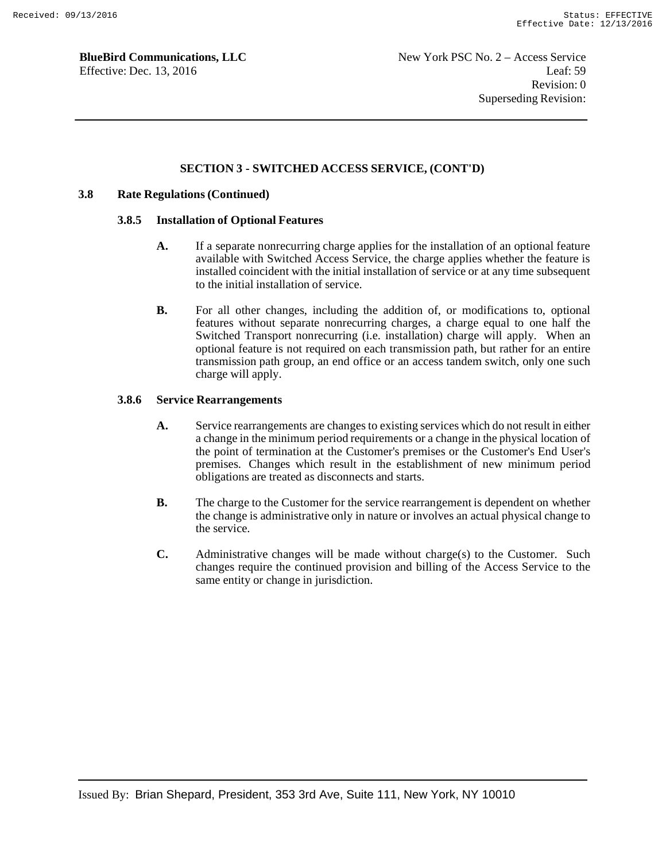### **SECTION 3 - SWITCHED ACCESS SERVICE, (CONT'D)**

### **3.8 Rate Regulations (Continued)**

#### **3.8.5 Installation of Optional Features**

- **A.** If a separate nonrecurring charge applies for the installation of an optional feature available with Switched Access Service, the charge applies whether the feature is installed coincident with the initial installation of service or at any time subsequent to the initial installation of service.
- **B.** For all other changes, including the addition of, or modifications to, optional features without separate nonrecurring charges, a charge equal to one half the Switched Transport nonrecurring (i.e. installation) charge will apply. When an optional feature is not required on each transmission path, but rather for an entire transmission path group, an end office or an access tandem switch, only one such charge will apply.

#### **3.8.6 Service Rearrangements**

- **A.** Service rearrangements are changes to existing services which do not result in either a change in the minimum period requirements or a change in the physical location of the point of termination at the Customer's premises or the Customer's End User's premises. Changes which result in the establishment of new minimum period obligations are treated as disconnects and starts.
- **B.** The charge to the Customer for the service rearrangement is dependent on whether the change is administrative only in nature or involves an actual physical change to the service.
- **C.** Administrative changes will be made without charge(s) to the Customer. Such changes require the continued provision and billing of the Access Service to the same entity or change in jurisdiction.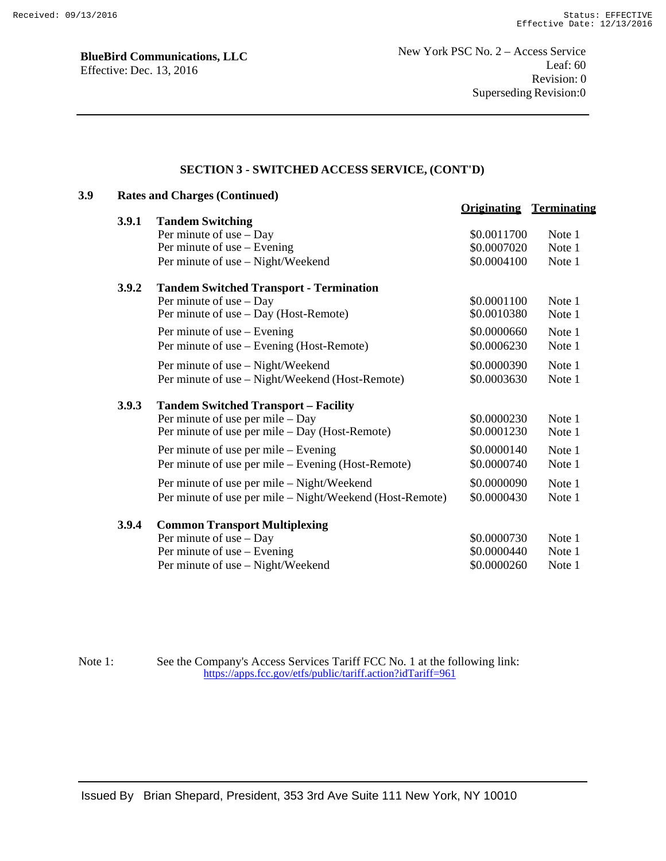### **SECTION 3 - SWITCHED ACCESS SERVICE, (CONT'D)**

| 3.9 | <b>Rates and Charges (Continued)</b> |                                                          |                                |        |  |  |  |
|-----|--------------------------------------|----------------------------------------------------------|--------------------------------|--------|--|--|--|
|     | 3.9.1                                | <b>Tandem Switching</b>                                  | <b>Originating Terminating</b> |        |  |  |  |
|     |                                      | Per minute of use $-$ Day                                | \$0.0011700                    | Note 1 |  |  |  |
|     |                                      | Per minute of use – Evening                              | \$0.0007020                    | Note 1 |  |  |  |
|     |                                      | Per minute of use - Night/Weekend                        | \$0.0004100                    | Note 1 |  |  |  |
|     | 3.9.2                                | <b>Tandem Switched Transport - Termination</b>           |                                |        |  |  |  |
|     |                                      | Per minute of use - Day                                  | \$0.0001100                    | Note 1 |  |  |  |
|     |                                      | Per minute of use - Day (Host-Remote)                    | \$0.0010380                    | Note 1 |  |  |  |
|     |                                      | Per minute of use – Evening                              | \$0.0000660                    | Note 1 |  |  |  |
|     |                                      | Per minute of use – Evening (Host-Remote)                | \$0.0006230                    | Note 1 |  |  |  |
|     |                                      | Per minute of use - Night/Weekend                        | \$0.0000390                    | Note 1 |  |  |  |
|     |                                      | Per minute of use - Night/Weekend (Host-Remote)          | \$0.0003630                    | Note 1 |  |  |  |
|     | 3.9.3                                | <b>Tandem Switched Transport - Facility</b>              |                                |        |  |  |  |
|     |                                      | Per minute of use per mile $-$ Day                       | \$0.0000230                    | Note 1 |  |  |  |
|     |                                      | Per minute of use per mile – Day (Host-Remote)           | \$0.0001230                    | Note 1 |  |  |  |
|     |                                      | Per minute of use per mile – Evening                     | \$0.0000140                    | Note 1 |  |  |  |
|     |                                      | Per minute of use per mile – Evening (Host-Remote)       | \$0.0000740                    | Note 1 |  |  |  |
|     |                                      | Per minute of use per mile – Night/Weekend               | \$0.0000090                    | Note 1 |  |  |  |
|     |                                      | Per minute of use per mile - Night/Weekend (Host-Remote) | \$0.0000430                    | Note 1 |  |  |  |
|     | 3.9.4                                | <b>Common Transport Multiplexing</b>                     |                                |        |  |  |  |
|     |                                      | Per minute of use - Day                                  | \$0.0000730                    | Note 1 |  |  |  |
|     |                                      | Per minute of use – Evening                              | \$0.0000440                    | Note 1 |  |  |  |
|     |                                      | Per minute of use - Night/Weekend                        | \$0.0000260                    | Note 1 |  |  |  |

Note 1: See the Company's Access Services Tariff FCC No. 1 at the following link: https://apps.fcc.gov/etfs/public/tariff.action?idTariff=961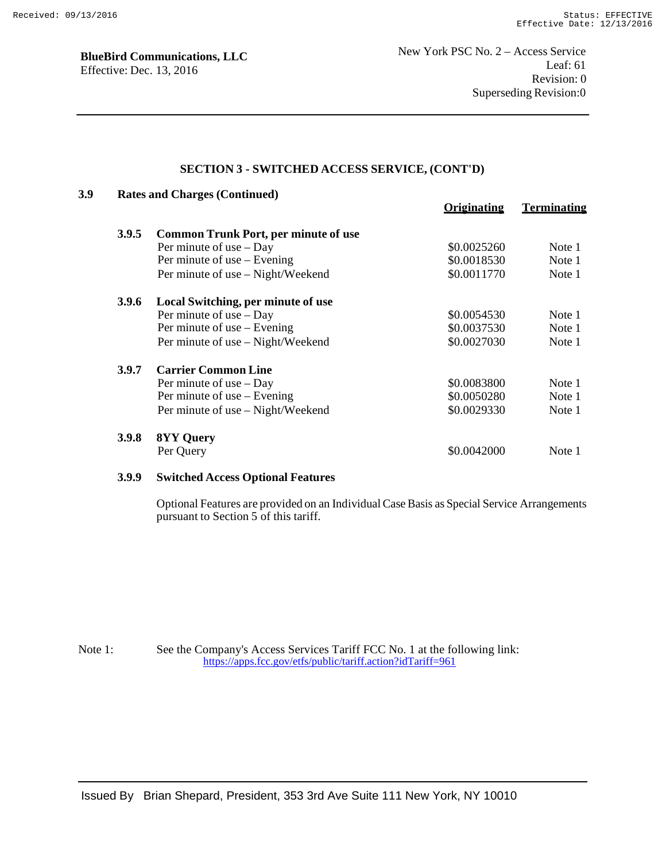# **SECTION 3 - SWITCHED ACCESS SERVICE, (CONT'D)**

| 3.9 |              | <b>Rates and Charges (Continued)</b>        |                    |                    |  |  |  |
|-----|--------------|---------------------------------------------|--------------------|--------------------|--|--|--|
|     |              |                                             | <b>Originating</b> | <b>Terminating</b> |  |  |  |
|     | <b>3.9.5</b> | <b>Common Trunk Port, per minute of use</b> |                    |                    |  |  |  |
|     |              | Per minute of use $-$ Day                   | \$0.0025260        | Note 1             |  |  |  |
|     |              | Per minute of use – Evening                 | \$0.0018530        | Note 1             |  |  |  |
|     |              | Per minute of use – Night/Weekend           | \$0.0011770        | Note 1             |  |  |  |
|     | <b>3.9.6</b> | Local Switching, per minute of use          |                    |                    |  |  |  |
|     |              | Per minute of use $-$ Day                   | \$0.0054530        | Note 1             |  |  |  |
|     |              | Per minute of use – Evening                 | \$0.0037530        | Note 1             |  |  |  |
|     |              | Per minute of use – Night/Weekend           | \$0.0027030        | Note 1             |  |  |  |
|     | 3.9.7        | <b>Carrier Common Line</b>                  |                    |                    |  |  |  |
|     |              | Per minute of use $-$ Day                   | \$0.0083800        | Note 1             |  |  |  |
|     |              | Per minute of use – Evening                 | \$0.0050280        | Note 1             |  |  |  |
|     |              | Per minute of use – Night/Weekend           | \$0.0029330        | Note 1             |  |  |  |
|     | <b>3.9.8</b> | <b>8YY Query</b>                            |                    |                    |  |  |  |
|     |              | Per Query                                   | \$0.0042000        | Note 1             |  |  |  |

### **3.9.9 Switched Access Optional Features**

Optional Features are provided on an Individual Case Basis as Special Service Arrangements pursuant to Section 5 of this tariff.

Note 1: See the Company's Access Services Tariff FCC No. 1 at the following link: https://apps.fcc.gov/etfs/public/tariff.action?idTariff=961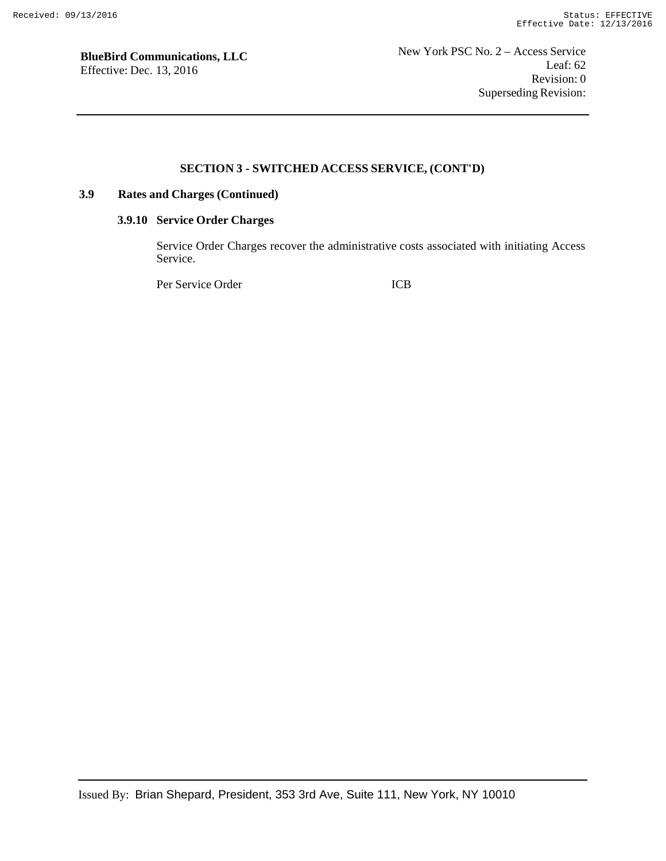### **SECTION 3 - SWITCHED ACCESS SERVICE, (CONT'D)**

# **3.9 Rates and Charges (Continued)**

### **3.9.10 Service Order Charges**

Service Order Charges recover the administrative costs associated with initiating Access Service.

Per Service Order ICB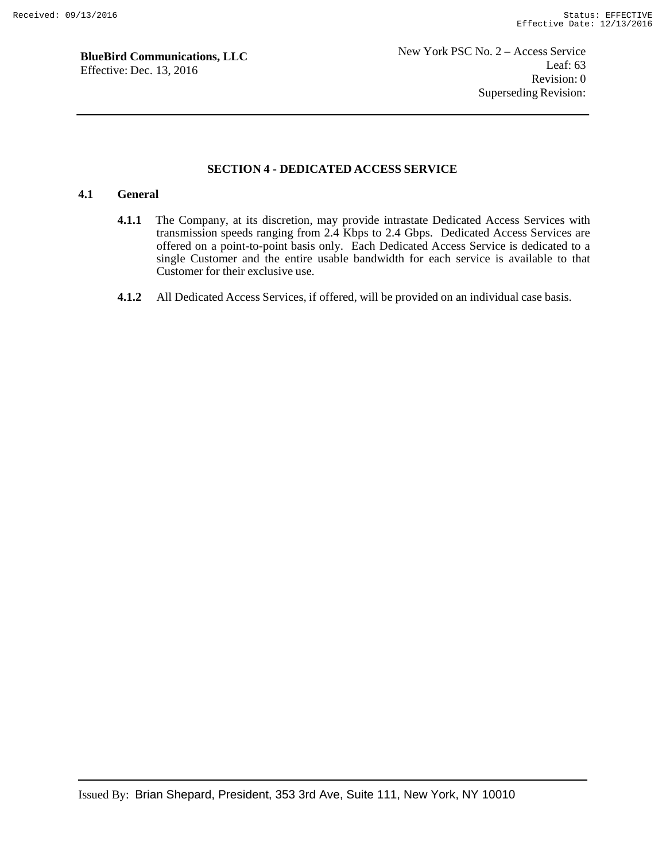#### **SECTION 4 - DEDICATED ACCESS SERVICE**

### **4.1 General**

- **4.1.1** The Company, at its discretion, may provide intrastate Dedicated Access Services with transmission speeds ranging from 2.4 Kbps to 2.4 Gbps. Dedicated Access Services are offered on a point-to-point basis only. Each Dedicated Access Service is dedicated to a single Customer and the entire usable bandwidth for each service is available to that Customer for their exclusive use.
- **4.1.2** All Dedicated Access Services, if offered, will be provided on an individual case basis.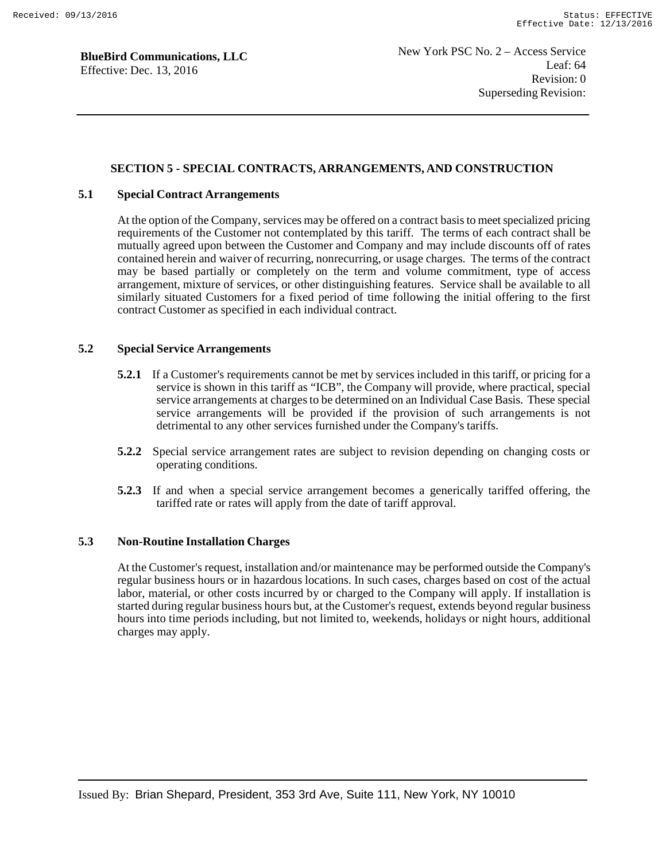### **SECTION 5 - SPECIAL CONTRACTS, ARRANGEMENTS, AND CONSTRUCTION**

### **5.1 Special Contract Arrangements**

At the option of the Company, services may be offered on a contract basis to meet specialized pricing requirements of the Customer not contemplated by this tariff. The terms of each contract shall be mutually agreed upon between the Customer and Company and may include discounts off of rates contained herein and waiver of recurring, nonrecurring, or usage charges. The terms of the contract may be based partially or completely on the term and volume commitment, type of access arrangement, mixture of services, or other distinguishing features. Service shall be available to all similarly situated Customers for a fixed period of time following the initial offering to the first contract Customer as specified in each individual contract.

#### **5.2 Special Service Arrangements**

- **5.2.1** If a Customer's requirements cannot be met by services included in this tariff, or pricing for a service is shown in this tariff as "ICB", the Company will provide, where practical, special service arrangements at charges to be determined on an Individual Case Basis. These special service arrangements will be provided if the provision of such arrangements is not detrimental to any other services furnished under the Company's tariffs.
- **5.2.2** Special service arrangement rates are subject to revision depending on changing costs or operating conditions.
- **5.2.3** If and when a special service arrangement becomes a generically tariffed offering, the tariffed rate or rates will apply from the date of tariff approval.

#### **5.3 Non-Routine Installation Charges**

At the Customer's request, installation and/or maintenance may be performed outside the Company's regular business hours or in hazardous locations. In such cases, charges based on cost of the actual labor, material, or other costs incurred by or charged to the Company will apply. If installation is started during regular business hours but, at the Customer's request, extends beyond regular business hours into time periods including, but not limited to, weekends, holidays or night hours, additional charges may apply.